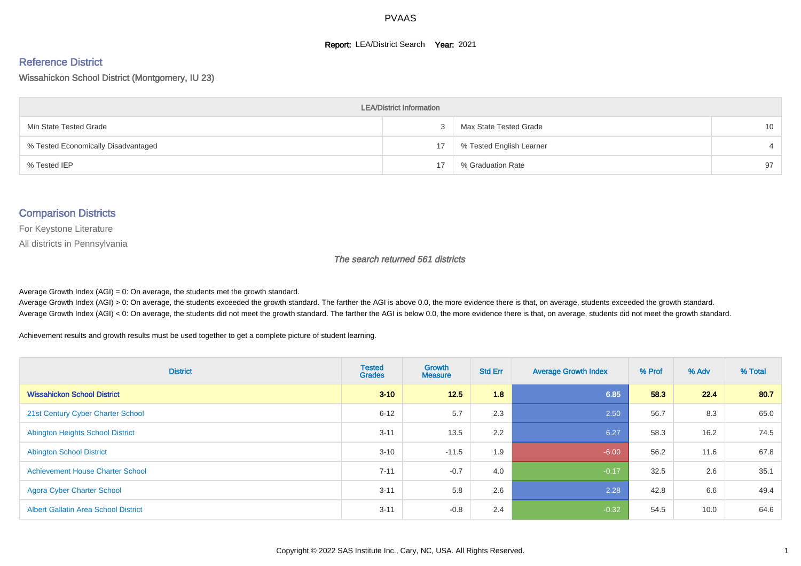#### **Report: LEA/District Search Year: 2021**

#### Reference District

Wissahickon School District (Montgomery, IU 23)

| <b>LEA/District Information</b>     |    |                          |                 |  |  |  |  |  |  |  |
|-------------------------------------|----|--------------------------|-----------------|--|--|--|--|--|--|--|
| Min State Tested Grade              |    | Max State Tested Grade   | 10 <sup>°</sup> |  |  |  |  |  |  |  |
| % Tested Economically Disadvantaged | 17 | % Tested English Learner |                 |  |  |  |  |  |  |  |
| % Tested IEP                        | 17 | % Graduation Rate        | 97              |  |  |  |  |  |  |  |

#### Comparison Districts

For Keystone Literature

All districts in Pennsylvania

The search returned 561 districts

Average Growth Index  $(AGI) = 0$ : On average, the students met the growth standard.

Average Growth Index (AGI) > 0: On average, the students exceeded the growth standard. The farther the AGI is above 0.0, the more evidence there is that, on average, students exceeded the growth standard. Average Growth Index (AGI) < 0: On average, the students did not meet the growth standard. The farther the AGI is below 0.0, the more evidence there is that, on average, students did not meet the growth standard.

Achievement results and growth results must be used together to get a complete picture of student learning.

| <b>District</b>                             | <b>Tested</b><br><b>Grades</b> | <b>Growth</b><br><b>Measure</b> | <b>Std Err</b> | <b>Average Growth Index</b> | % Prof | % Adv | % Total |
|---------------------------------------------|--------------------------------|---------------------------------|----------------|-----------------------------|--------|-------|---------|
| <b>Wissahickon School District</b>          | $3 - 10$                       | 12.5                            | 1.8            | 6.85                        | 58.3   | 22.4  | 80.7    |
| 21st Century Cyber Charter School           | $6 - 12$                       | 5.7                             | 2.3            | 2.50                        | 56.7   | 8.3   | 65.0    |
| <b>Abington Heights School District</b>     | $3 - 11$                       | 13.5                            | 2.2            | 6.27                        | 58.3   | 16.2  | 74.5    |
| <b>Abington School District</b>             | $3 - 10$                       | $-11.5$                         | 1.9            | $-6.00$                     | 56.2   | 11.6  | 67.8    |
| <b>Achievement House Charter School</b>     | $7 - 11$                       | $-0.7$                          | 4.0            | $-0.17$                     | 32.5   | 2.6   | 35.1    |
| <b>Agora Cyber Charter School</b>           | $3 - 11$                       | 5.8                             | 2.6            | 2.28                        | 42.8   | 6.6   | 49.4    |
| <b>Albert Gallatin Area School District</b> | $3 - 11$                       | $-0.8$                          | 2.4            | $-0.32$                     | 54.5   | 10.0  | 64.6    |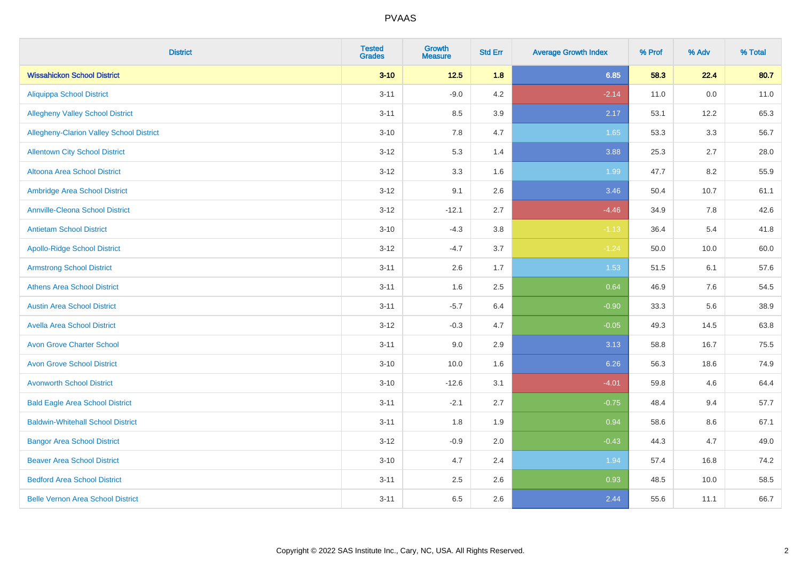| <b>District</b>                          | <b>Tested</b><br><b>Grades</b> | <b>Growth</b><br><b>Measure</b> | <b>Std Err</b> | <b>Average Growth Index</b> | % Prof | % Adv | % Total |
|------------------------------------------|--------------------------------|---------------------------------|----------------|-----------------------------|--------|-------|---------|
| <b>Wissahickon School District</b>       | $3 - 10$                       | $12.5$                          | 1.8            | 6.85                        | 58.3   | 22.4  | 80.7    |
| <b>Aliquippa School District</b>         | $3 - 11$                       | $-9.0$                          | 4.2            | $-2.14$                     | 11.0   | 0.0   | 11.0    |
| <b>Allegheny Valley School District</b>  | $3 - 11$                       | 8.5                             | 3.9            | 2.17                        | 53.1   | 12.2  | 65.3    |
| Allegheny-Clarion Valley School District | $3 - 10$                       | 7.8                             | 4.7            | 1.65                        | 53.3   | 3.3   | 56.7    |
| <b>Allentown City School District</b>    | $3 - 12$                       | 5.3                             | 1.4            | 3.88                        | 25.3   | 2.7   | 28.0    |
| <b>Altoona Area School District</b>      | $3 - 12$                       | 3.3                             | 1.6            | 1.99                        | 47.7   | 8.2   | 55.9    |
| Ambridge Area School District            | $3 - 12$                       | 9.1                             | 2.6            | 3.46                        | 50.4   | 10.7  | 61.1    |
| <b>Annville-Cleona School District</b>   | $3 - 12$                       | $-12.1$                         | 2.7            | $-4.46$                     | 34.9   | 7.8   | 42.6    |
| <b>Antietam School District</b>          | $3 - 10$                       | $-4.3$                          | 3.8            | $-1.13$                     | 36.4   | 5.4   | 41.8    |
| <b>Apollo-Ridge School District</b>      | $3 - 12$                       | $-4.7$                          | 3.7            | $-1.24$                     | 50.0   | 10.0  | 60.0    |
| <b>Armstrong School District</b>         | $3 - 11$                       | 2.6                             | 1.7            | 1.53                        | 51.5   | 6.1   | 57.6    |
| <b>Athens Area School District</b>       | $3 - 11$                       | 1.6                             | 2.5            | 0.64                        | 46.9   | 7.6   | 54.5    |
| <b>Austin Area School District</b>       | $3 - 11$                       | $-5.7$                          | 6.4            | $-0.90$                     | 33.3   | 5.6   | 38.9    |
| <b>Avella Area School District</b>       | $3 - 12$                       | $-0.3$                          | 4.7            | $-0.05$                     | 49.3   | 14.5  | 63.8    |
| <b>Avon Grove Charter School</b>         | $3 - 11$                       | 9.0                             | 2.9            | 3.13                        | 58.8   | 16.7  | 75.5    |
| <b>Avon Grove School District</b>        | $3 - 10$                       | 10.0                            | 1.6            | 6.26                        | 56.3   | 18.6  | 74.9    |
| <b>Avonworth School District</b>         | $3 - 10$                       | $-12.6$                         | 3.1            | $-4.01$                     | 59.8   | 4.6   | 64.4    |
| <b>Bald Eagle Area School District</b>   | $3 - 11$                       | $-2.1$                          | 2.7            | $-0.75$                     | 48.4   | 9.4   | 57.7    |
| <b>Baldwin-Whitehall School District</b> | $3 - 11$                       | 1.8                             | 1.9            | 0.94                        | 58.6   | 8.6   | 67.1    |
| <b>Bangor Area School District</b>       | $3 - 12$                       | $-0.9$                          | 2.0            | $-0.43$                     | 44.3   | 4.7   | 49.0    |
| <b>Beaver Area School District</b>       | $3 - 10$                       | 4.7                             | 2.4            | 1.94                        | 57.4   | 16.8  | 74.2    |
| <b>Bedford Area School District</b>      | $3 - 11$                       | 2.5                             | 2.6            | 0.93                        | 48.5   | 10.0  | 58.5    |
| <b>Belle Vernon Area School District</b> | $3 - 11$                       | 6.5                             | 2.6            | 2.44                        | 55.6   | 11.1  | 66.7    |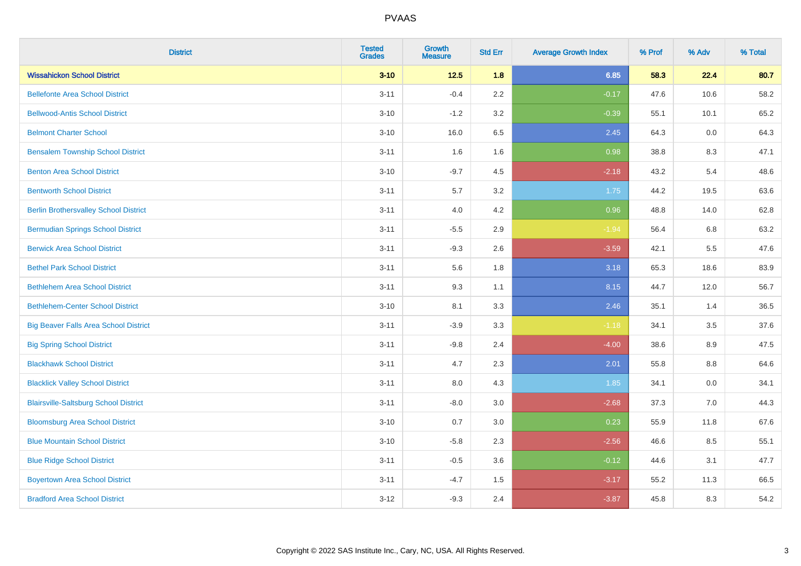| <b>District</b>                              | <b>Tested</b><br><b>Grades</b> | <b>Growth</b><br><b>Measure</b> | <b>Std Err</b> | <b>Average Growth Index</b> | % Prof | % Adv | % Total |
|----------------------------------------------|--------------------------------|---------------------------------|----------------|-----------------------------|--------|-------|---------|
| <b>Wissahickon School District</b>           | $3 - 10$                       | $12.5$                          | 1.8            | 6.85                        | 58.3   | 22.4  | 80.7    |
| <b>Bellefonte Area School District</b>       | $3 - 11$                       | $-0.4$                          | 2.2            | $-0.17$                     | 47.6   | 10.6  | 58.2    |
| <b>Bellwood-Antis School District</b>        | $3 - 10$                       | $-1.2$                          | 3.2            | $-0.39$                     | 55.1   | 10.1  | 65.2    |
| <b>Belmont Charter School</b>                | $3 - 10$                       | 16.0                            | 6.5            | 2.45                        | 64.3   | 0.0   | 64.3    |
| <b>Bensalem Township School District</b>     | $3 - 11$                       | 1.6                             | 1.6            | 0.98                        | 38.8   | 8.3   | 47.1    |
| <b>Benton Area School District</b>           | $3 - 10$                       | $-9.7$                          | 4.5            | $-2.18$                     | 43.2   | 5.4   | 48.6    |
| <b>Bentworth School District</b>             | $3 - 11$                       | $5.7\,$                         | 3.2            | 1.75                        | 44.2   | 19.5  | 63.6    |
| <b>Berlin Brothersvalley School District</b> | $3 - 11$                       | 4.0                             | 4.2            | 0.96                        | 48.8   | 14.0  | 62.8    |
| <b>Bermudian Springs School District</b>     | $3 - 11$                       | $-5.5$                          | 2.9            | $-1.94$                     | 56.4   | 6.8   | 63.2    |
| <b>Berwick Area School District</b>          | $3 - 11$                       | $-9.3$                          | 2.6            | $-3.59$                     | 42.1   | 5.5   | 47.6    |
| <b>Bethel Park School District</b>           | $3 - 11$                       | 5.6                             | 1.8            | 3.18                        | 65.3   | 18.6  | 83.9    |
| <b>Bethlehem Area School District</b>        | $3 - 11$                       | 9.3                             | 1.1            | 8.15                        | 44.7   | 12.0  | 56.7    |
| <b>Bethlehem-Center School District</b>      | $3 - 10$                       | 8.1                             | 3.3            | 2.46                        | 35.1   | 1.4   | 36.5    |
| <b>Big Beaver Falls Area School District</b> | $3 - 11$                       | $-3.9$                          | 3.3            | $-1.18$                     | 34.1   | 3.5   | 37.6    |
| <b>Big Spring School District</b>            | $3 - 11$                       | $-9.8$                          | 2.4            | $-4.00$                     | 38.6   | 8.9   | 47.5    |
| <b>Blackhawk School District</b>             | $3 - 11$                       | 4.7                             | 2.3            | 2.01                        | 55.8   | 8.8   | 64.6    |
| <b>Blacklick Valley School District</b>      | $3 - 11$                       | 8.0                             | 4.3            | 1.85                        | 34.1   | 0.0   | 34.1    |
| <b>Blairsville-Saltsburg School District</b> | $3 - 11$                       | $-8.0$                          | 3.0            | $-2.68$                     | 37.3   | 7.0   | 44.3    |
| <b>Bloomsburg Area School District</b>       | $3 - 10$                       | 0.7                             | 3.0            | 0.23                        | 55.9   | 11.8  | 67.6    |
| <b>Blue Mountain School District</b>         | $3 - 10$                       | $-5.8$                          | 2.3            | $-2.56$                     | 46.6   | 8.5   | 55.1    |
| <b>Blue Ridge School District</b>            | $3 - 11$                       | $-0.5$                          | 3.6            | $-0.12$                     | 44.6   | 3.1   | 47.7    |
| <b>Boyertown Area School District</b>        | $3 - 11$                       | $-4.7$                          | 1.5            | $-3.17$                     | 55.2   | 11.3  | 66.5    |
| <b>Bradford Area School District</b>         | $3 - 12$                       | $-9.3$                          | 2.4            | $-3.87$                     | 45.8   | 8.3   | 54.2    |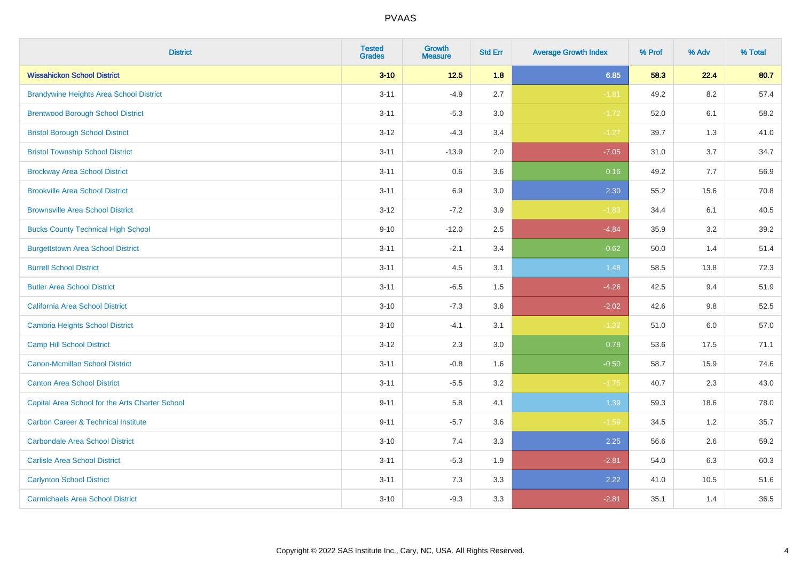| <b>District</b>                                 | <b>Tested</b><br><b>Grades</b> | <b>Growth</b><br><b>Measure</b> | <b>Std Err</b> | <b>Average Growth Index</b> | % Prof | % Adv   | % Total |
|-------------------------------------------------|--------------------------------|---------------------------------|----------------|-----------------------------|--------|---------|---------|
| <b>Wissahickon School District</b>              | $3 - 10$                       | $12.5$                          | 1.8            | 6.85                        | 58.3   | 22.4    | 80.7    |
| <b>Brandywine Heights Area School District</b>  | $3 - 11$                       | $-4.9$                          | 2.7            | $-1.81$                     | 49.2   | 8.2     | 57.4    |
| <b>Brentwood Borough School District</b>        | $3 - 11$                       | $-5.3$                          | 3.0            | $-1.72$                     | 52.0   | 6.1     | 58.2    |
| <b>Bristol Borough School District</b>          | $3 - 12$                       | $-4.3$                          | 3.4            | $-1.27$                     | 39.7   | 1.3     | 41.0    |
| <b>Bristol Township School District</b>         | $3 - 11$                       | $-13.9$                         | 2.0            | $-7.05$                     | 31.0   | 3.7     | 34.7    |
| <b>Brockway Area School District</b>            | $3 - 11$                       | 0.6                             | 3.6            | 0.16                        | 49.2   | 7.7     | 56.9    |
| <b>Brookville Area School District</b>          | $3 - 11$                       | 6.9                             | 3.0            | 2.30                        | 55.2   | 15.6    | 70.8    |
| <b>Brownsville Area School District</b>         | $3 - 12$                       | $-7.2$                          | 3.9            | $-1.83$                     | 34.4   | 6.1     | 40.5    |
| <b>Bucks County Technical High School</b>       | $9 - 10$                       | $-12.0$                         | 2.5            | $-4.84$                     | 35.9   | 3.2     | 39.2    |
| <b>Burgettstown Area School District</b>        | $3 - 11$                       | $-2.1$                          | 3.4            | $-0.62$                     | 50.0   | 1.4     | 51.4    |
| <b>Burrell School District</b>                  | $3 - 11$                       | 4.5                             | 3.1            | 1.48                        | 58.5   | 13.8    | 72.3    |
| <b>Butler Area School District</b>              | $3 - 11$                       | $-6.5$                          | 1.5            | $-4.26$                     | 42.5   | 9.4     | 51.9    |
| California Area School District                 | $3 - 10$                       | $-7.3$                          | 3.6            | $-2.02$                     | 42.6   | $9.8\,$ | 52.5    |
| <b>Cambria Heights School District</b>          | $3 - 10$                       | $-4.1$                          | 3.1            | $-1.32$                     | 51.0   | 6.0     | 57.0    |
| <b>Camp Hill School District</b>                | $3 - 12$                       | 2.3                             | 3.0            | 0.78                        | 53.6   | 17.5    | 71.1    |
| <b>Canon-Mcmillan School District</b>           | $3 - 11$                       | $-0.8$                          | 1.6            | $-0.50$                     | 58.7   | 15.9    | 74.6    |
| <b>Canton Area School District</b>              | $3 - 11$                       | $-5.5$                          | 3.2            | $-1.75$                     | 40.7   | 2.3     | 43.0    |
| Capital Area School for the Arts Charter School | $9 - 11$                       | 5.8                             | 4.1            | 1.39                        | 59.3   | 18.6    | 78.0    |
| <b>Carbon Career &amp; Technical Institute</b>  | $9 - 11$                       | $-5.7$                          | 3.6            | $-1.59$                     | 34.5   | 1.2     | 35.7    |
| <b>Carbondale Area School District</b>          | $3 - 10$                       | 7.4                             | 3.3            | 2.25                        | 56.6   | 2.6     | 59.2    |
| <b>Carlisle Area School District</b>            | $3 - 11$                       | $-5.3$                          | 1.9            | $-2.81$                     | 54.0   | 6.3     | 60.3    |
| <b>Carlynton School District</b>                | $3 - 11$                       | 7.3                             | 3.3            | 2.22                        | 41.0   | 10.5    | 51.6    |
| <b>Carmichaels Area School District</b>         | $3 - 10$                       | $-9.3$                          | 3.3            | $-2.81$                     | 35.1   | 1.4     | 36.5    |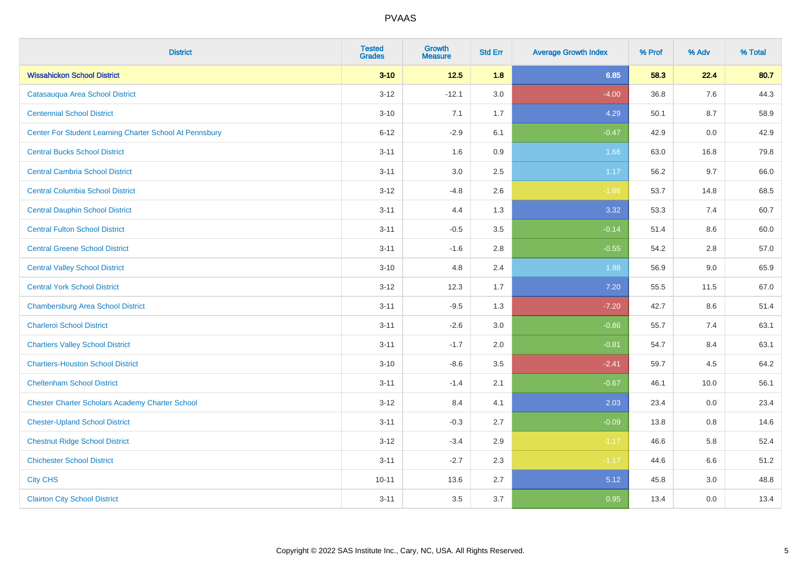| <b>District</b>                                         | <b>Tested</b><br><b>Grades</b> | <b>Growth</b><br><b>Measure</b> | <b>Std Err</b> | <b>Average Growth Index</b> | % Prof | % Adv | % Total |
|---------------------------------------------------------|--------------------------------|---------------------------------|----------------|-----------------------------|--------|-------|---------|
| <b>Wissahickon School District</b>                      | $3 - 10$                       | $12.5$                          | 1.8            | 6.85                        | 58.3   | 22.4  | 80.7    |
| Catasauqua Area School District                         | $3 - 12$                       | $-12.1$                         | 3.0            | $-4.00$                     | 36.8   | 7.6   | 44.3    |
| <b>Centennial School District</b>                       | $3 - 10$                       | 7.1                             | 1.7            | 4.29                        | 50.1   | 8.7   | 58.9    |
| Center For Student Learning Charter School At Pennsbury | $6 - 12$                       | $-2.9$                          | 6.1            | $-0.47$                     | 42.9   | 0.0   | 42.9    |
| <b>Central Bucks School District</b>                    | $3 - 11$                       | 1.6                             | 0.9            | 1.66                        | 63.0   | 16.8  | 79.8    |
| <b>Central Cambria School District</b>                  | $3 - 11$                       | 3.0                             | 2.5            | 1.17                        | 56.2   | 9.7   | 66.0    |
| <b>Central Columbia School District</b>                 | $3-12$                         | $-4.8$                          | 2.6            | $-1.86$                     | 53.7   | 14.8  | 68.5    |
| <b>Central Dauphin School District</b>                  | $3 - 11$                       | 4.4                             | 1.3            | 3.32                        | 53.3   | 7.4   | 60.7    |
| <b>Central Fulton School District</b>                   | $3 - 11$                       | $-0.5$                          | 3.5            | $-0.14$                     | 51.4   | 8.6   | 60.0    |
| <b>Central Greene School District</b>                   | $3 - 11$                       | $-1.6$                          | 2.8            | $-0.55$                     | 54.2   | 2.8   | 57.0    |
| <b>Central Valley School District</b>                   | $3 - 10$                       | 4.8                             | 2.4            | 1.98                        | 56.9   | 9.0   | 65.9    |
| <b>Central York School District</b>                     | $3 - 12$                       | 12.3                            | 1.7            | 7.20                        | 55.5   | 11.5  | 67.0    |
| <b>Chambersburg Area School District</b>                | $3 - 11$                       | $-9.5$                          | 1.3            | $-7.20$                     | 42.7   | 8.6   | 51.4    |
| <b>Charleroi School District</b>                        | $3 - 11$                       | $-2.6$                          | 3.0            | $-0.86$                     | 55.7   | 7.4   | 63.1    |
| <b>Chartiers Valley School District</b>                 | $3 - 11$                       | $-1.7$                          | 2.0            | $-0.81$                     | 54.7   | 8.4   | 63.1    |
| <b>Chartiers-Houston School District</b>                | $3 - 10$                       | $-8.6$                          | 3.5            | $-2.41$                     | 59.7   | 4.5   | 64.2    |
| <b>Cheltenham School District</b>                       | $3 - 11$                       | $-1.4$                          | 2.1            | $-0.67$                     | 46.1   | 10.0  | 56.1    |
| <b>Chester Charter Scholars Academy Charter School</b>  | $3 - 12$                       | 8.4                             | 4.1            | 2.03                        | 23.4   | 0.0   | 23.4    |
| <b>Chester-Upland School District</b>                   | $3 - 11$                       | $-0.3$                          | 2.7            | $-0.09$                     | 13.8   | 0.8   | 14.6    |
| <b>Chestnut Ridge School District</b>                   | $3-12$                         | $-3.4$                          | 2.9            | $-1.17$                     | 46.6   | 5.8   | 52.4    |
| <b>Chichester School District</b>                       | $3 - 11$                       | $-2.7$                          | 2.3            | $-1.17$                     | 44.6   | 6.6   | 51.2    |
| <b>City CHS</b>                                         | $10 - 11$                      | 13.6                            | 2.7            | 5.12                        | 45.8   | 3.0   | 48.8    |
| <b>Clairton City School District</b>                    | $3 - 11$                       | 3.5                             | 3.7            | 0.95                        | 13.4   | 0.0   | 13.4    |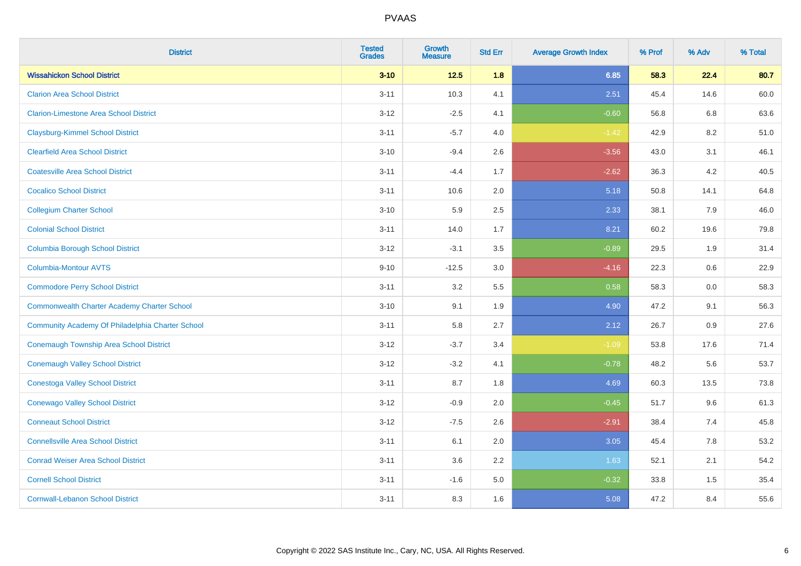| <b>District</b>                                  | <b>Tested</b><br><b>Grades</b> | Growth<br><b>Measure</b> | <b>Std Err</b> | <b>Average Growth Index</b> | % Prof | % Adv   | % Total |
|--------------------------------------------------|--------------------------------|--------------------------|----------------|-----------------------------|--------|---------|---------|
| <b>Wissahickon School District</b>               | $3 - 10$                       | $12.5$                   | 1.8            | 6.85                        | 58.3   | 22.4    | 80.7    |
| <b>Clarion Area School District</b>              | $3 - 11$                       | 10.3                     | 4.1            | 2.51                        | 45.4   | 14.6    | 60.0    |
| <b>Clarion-Limestone Area School District</b>    | $3-12$                         | $-2.5$                   | 4.1            | $-0.60$                     | 56.8   | 6.8     | 63.6    |
| <b>Claysburg-Kimmel School District</b>          | $3 - 11$                       | $-5.7$                   | 4.0            | $-1.42$                     | 42.9   | $8.2\,$ | 51.0    |
| <b>Clearfield Area School District</b>           | $3 - 10$                       | $-9.4$                   | 2.6            | $-3.56$                     | 43.0   | 3.1     | 46.1    |
| <b>Coatesville Area School District</b>          | $3 - 11$                       | $-4.4$                   | 1.7            | $-2.62$                     | 36.3   | 4.2     | 40.5    |
| <b>Cocalico School District</b>                  | $3 - 11$                       | 10.6                     | 2.0            | 5.18                        | 50.8   | 14.1    | 64.8    |
| <b>Collegium Charter School</b>                  | $3 - 10$                       | 5.9                      | 2.5            | 2.33                        | 38.1   | 7.9     | 46.0    |
| <b>Colonial School District</b>                  | $3 - 11$                       | 14.0                     | 1.7            | 8.21                        | 60.2   | 19.6    | 79.8    |
| <b>Columbia Borough School District</b>          | $3 - 12$                       | $-3.1$                   | 3.5            | $-0.89$                     | 29.5   | 1.9     | 31.4    |
| <b>Columbia-Montour AVTS</b>                     | $9 - 10$                       | $-12.5$                  | 3.0            | $-4.16$                     | 22.3   | 0.6     | 22.9    |
| <b>Commodore Perry School District</b>           | $3 - 11$                       | 3.2                      | 5.5            | 0.58                        | 58.3   | 0.0     | 58.3    |
| Commonwealth Charter Academy Charter School      | $3 - 10$                       | 9.1                      | 1.9            | 4.90                        | 47.2   | 9.1     | 56.3    |
| Community Academy Of Philadelphia Charter School | $3 - 11$                       | 5.8                      | 2.7            | 2.12                        | 26.7   | 0.9     | 27.6    |
| <b>Conemaugh Township Area School District</b>   | $3-12$                         | $-3.7$                   | 3.4            | $-1.09$                     | 53.8   | 17.6    | 71.4    |
| <b>Conemaugh Valley School District</b>          | $3 - 12$                       | $-3.2$                   | 4.1            | $-0.78$                     | 48.2   | 5.6     | 53.7    |
| <b>Conestoga Valley School District</b>          | $3 - 11$                       | 8.7                      | 1.8            | 4.69                        | 60.3   | 13.5    | 73.8    |
| <b>Conewago Valley School District</b>           | $3-12$                         | $-0.9$                   | 2.0            | $-0.45$                     | 51.7   | 9.6     | 61.3    |
| <b>Conneaut School District</b>                  | $3 - 12$                       | $-7.5$                   | 2.6            | $-2.91$                     | 38.4   | 7.4     | 45.8    |
| <b>Connellsville Area School District</b>        | $3 - 11$                       | 6.1                      | 2.0            | 3.05                        | 45.4   | 7.8     | 53.2    |
| <b>Conrad Weiser Area School District</b>        | $3 - 11$                       | 3.6                      | 2.2            | 1.63                        | 52.1   | 2.1     | 54.2    |
| <b>Cornell School District</b>                   | $3 - 11$                       | $-1.6$                   | 5.0            | $-0.32$                     | 33.8   | 1.5     | 35.4    |
| <b>Cornwall-Lebanon School District</b>          | $3 - 11$                       | 8.3                      | 1.6            | 5.08                        | 47.2   | 8.4     | 55.6    |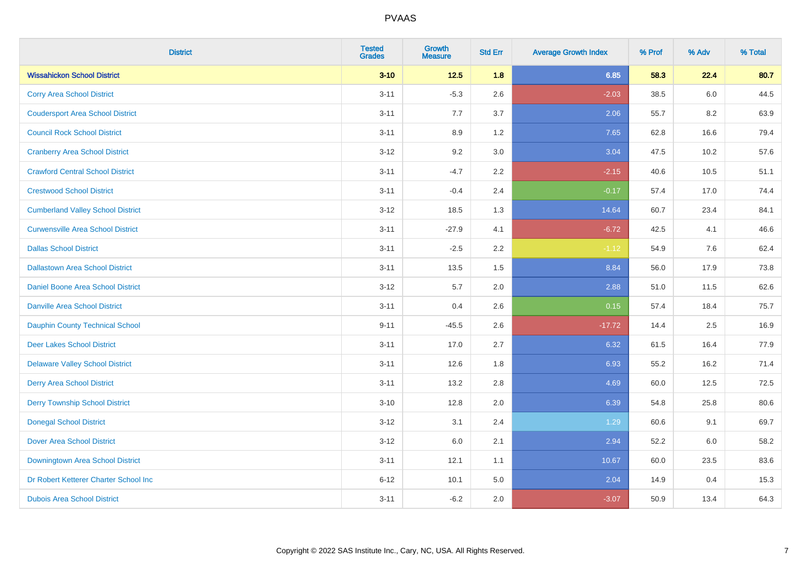| <b>District</b>                          | <b>Tested</b><br><b>Grades</b> | Growth<br><b>Measure</b> | <b>Std Err</b> | <b>Average Growth Index</b> | % Prof | % Adv | % Total |
|------------------------------------------|--------------------------------|--------------------------|----------------|-----------------------------|--------|-------|---------|
| <b>Wissahickon School District</b>       | $3 - 10$                       | $12.5$                   | 1.8            | 6.85                        | 58.3   | 22.4  | 80.7    |
| <b>Corry Area School District</b>        | $3 - 11$                       | $-5.3$                   | 2.6            | $-2.03$                     | 38.5   | 6.0   | 44.5    |
| <b>Coudersport Area School District</b>  | $3 - 11$                       | 7.7                      | 3.7            | 2.06                        | 55.7   | 8.2   | 63.9    |
| <b>Council Rock School District</b>      | $3 - 11$                       | 8.9                      | 1.2            | 7.65                        | 62.8   | 16.6  | 79.4    |
| <b>Cranberry Area School District</b>    | $3 - 12$                       | 9.2                      | 3.0            | 3.04                        | 47.5   | 10.2  | 57.6    |
| <b>Crawford Central School District</b>  | $3 - 11$                       | $-4.7$                   | 2.2            | $-2.15$                     | 40.6   | 10.5  | 51.1    |
| <b>Crestwood School District</b>         | $3 - 11$                       | $-0.4$                   | 2.4            | $-0.17$                     | 57.4   | 17.0  | 74.4    |
| <b>Cumberland Valley School District</b> | $3 - 12$                       | 18.5                     | 1.3            | 14.64                       | 60.7   | 23.4  | 84.1    |
| <b>Curwensville Area School District</b> | $3 - 11$                       | $-27.9$                  | 4.1            | $-6.72$                     | 42.5   | 4.1   | 46.6    |
| <b>Dallas School District</b>            | $3 - 11$                       | $-2.5$                   | 2.2            | $-1.12$                     | 54.9   | 7.6   | 62.4    |
| <b>Dallastown Area School District</b>   | $3 - 11$                       | 13.5                     | 1.5            | 8.84                        | 56.0   | 17.9  | 73.8    |
| <b>Daniel Boone Area School District</b> | $3 - 12$                       | 5.7                      | 2.0            | 2.88                        | 51.0   | 11.5  | 62.6    |
| <b>Danville Area School District</b>     | $3 - 11$                       | 0.4                      | 2.6            | 0.15                        | 57.4   | 18.4  | 75.7    |
| <b>Dauphin County Technical School</b>   | $9 - 11$                       | $-45.5$                  | 2.6            | $-17.72$                    | 14.4   | 2.5   | 16.9    |
| <b>Deer Lakes School District</b>        | $3 - 11$                       | 17.0                     | 2.7            | 6.32                        | 61.5   | 16.4  | 77.9    |
| <b>Delaware Valley School District</b>   | $3 - 11$                       | 12.6                     | 1.8            | 6.93                        | 55.2   | 16.2  | 71.4    |
| <b>Derry Area School District</b>        | $3 - 11$                       | 13.2                     | 2.8            | 4.69                        | 60.0   | 12.5  | 72.5    |
| <b>Derry Township School District</b>    | $3 - 10$                       | 12.8                     | 2.0            | 6.39                        | 54.8   | 25.8  | 80.6    |
| <b>Donegal School District</b>           | $3 - 12$                       | 3.1                      | 2.4            | 1.29                        | 60.6   | 9.1   | 69.7    |
| <b>Dover Area School District</b>        | $3-12$                         | 6.0                      | 2.1            | 2.94                        | 52.2   | 6.0   | 58.2    |
| Downingtown Area School District         | $3 - 11$                       | 12.1                     | 1.1            | 10.67                       | 60.0   | 23.5  | 83.6    |
| Dr Robert Ketterer Charter School Inc    | $6 - 12$                       | 10.1                     | 5.0            | 2.04                        | 14.9   | 0.4   | 15.3    |
| <b>Dubois Area School District</b>       | $3 - 11$                       | $-6.2$                   | 2.0            | $-3.07$                     | 50.9   | 13.4  | 64.3    |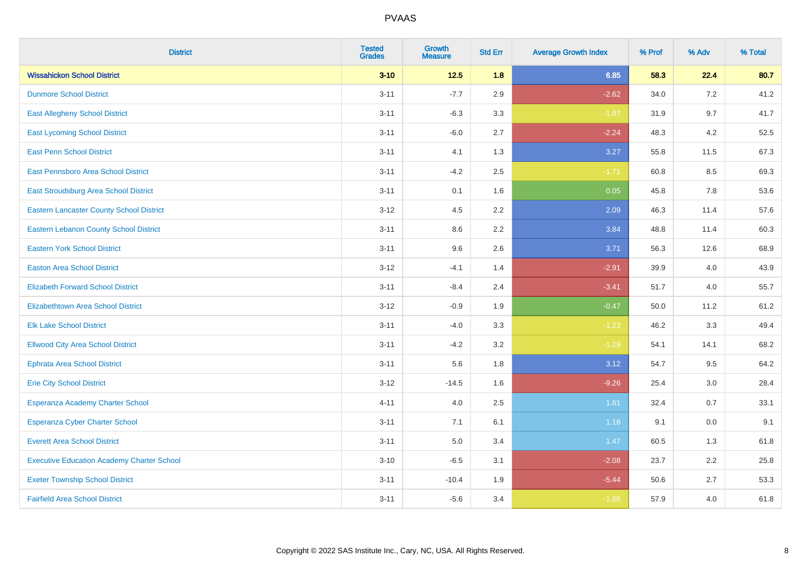| <b>District</b>                                   | <b>Tested</b><br><b>Grades</b> | <b>Growth</b><br><b>Measure</b> | <b>Std Err</b> | <b>Average Growth Index</b> | % Prof | % Adv | % Total |
|---------------------------------------------------|--------------------------------|---------------------------------|----------------|-----------------------------|--------|-------|---------|
| <b>Wissahickon School District</b>                | $3 - 10$                       | $12.5$                          | 1.8            | 6.85                        | 58.3   | 22.4  | 80.7    |
| <b>Dunmore School District</b>                    | $3 - 11$                       | $-7.7$                          | 2.9            | $-2.62$                     | 34.0   | 7.2   | 41.2    |
| <b>East Allegheny School District</b>             | $3 - 11$                       | $-6.3$                          | 3.3            | $-1.87$                     | 31.9   | 9.7   | 41.7    |
| <b>East Lycoming School District</b>              | $3 - 11$                       | $-6.0$                          | 2.7            | $-2.24$                     | 48.3   | 4.2   | 52.5    |
| <b>East Penn School District</b>                  | $3 - 11$                       | 4.1                             | 1.3            | 3.27                        | 55.8   | 11.5  | 67.3    |
| <b>East Pennsboro Area School District</b>        | $3 - 11$                       | $-4.2$                          | 2.5            | $-1.71$                     | 60.8   | 8.5   | 69.3    |
| East Stroudsburg Area School District             | $3 - 11$                       | 0.1                             | 1.6            | 0.05                        | 45.8   | 7.8   | 53.6    |
| <b>Eastern Lancaster County School District</b>   | $3 - 12$                       | 4.5                             | 2.2            | 2.09                        | 46.3   | 11.4  | 57.6    |
| <b>Eastern Lebanon County School District</b>     | $3 - 11$                       | 8.6                             | 2.2            | 3.84                        | 48.8   | 11.4  | 60.3    |
| <b>Eastern York School District</b>               | $3 - 11$                       | 9.6                             | 2.6            | 3.71                        | 56.3   | 12.6  | 68.9    |
| <b>Easton Area School District</b>                | $3 - 12$                       | $-4.1$                          | 1.4            | $-2.91$                     | 39.9   | 4.0   | 43.9    |
| <b>Elizabeth Forward School District</b>          | $3 - 11$                       | $-8.4$                          | 2.4            | $-3.41$                     | 51.7   | 4.0   | 55.7    |
| Elizabethtown Area School District                | $3 - 12$                       | $-0.9$                          | 1.9            | $-0.47$                     | 50.0   | 11.2  | 61.2    |
| <b>Elk Lake School District</b>                   | $3 - 11$                       | $-4.0$                          | 3.3            | $-1.23$                     | 46.2   | 3.3   | 49.4    |
| <b>Ellwood City Area School District</b>          | $3 - 11$                       | $-4.2$                          | 3.2            | $-1.29$                     | 54.1   | 14.1  | 68.2    |
| <b>Ephrata Area School District</b>               | $3 - 11$                       | 5.6                             | 1.8            | 3.12                        | 54.7   | 9.5   | 64.2    |
| <b>Erie City School District</b>                  | $3 - 12$                       | $-14.5$                         | 1.6            | $-9.26$                     | 25.4   | 3.0   | 28.4    |
| Esperanza Academy Charter School                  | $4 - 11$                       | 4.0                             | 2.5            | 1.61                        | 32.4   | 0.7   | 33.1    |
| <b>Esperanza Cyber Charter School</b>             | $3 - 11$                       | 7.1                             | 6.1            | 1.16                        | 9.1    | 0.0   | 9.1     |
| <b>Everett Area School District</b>               | $3 - 11$                       | 5.0                             | 3.4            | 1.47                        | 60.5   | 1.3   | 61.8    |
| <b>Executive Education Academy Charter School</b> | $3 - 10$                       | $-6.5$                          | 3.1            | $-2.08$                     | 23.7   | 2.2   | 25.8    |
| <b>Exeter Township School District</b>            | $3 - 11$                       | $-10.4$                         | 1.9            | $-5.44$                     | 50.6   | 2.7   | 53.3    |
| <b>Fairfield Area School District</b>             | $3 - 11$                       | $-5.6$                          | 3.4            | $-1.66$                     | 57.9   | 4.0   | 61.8    |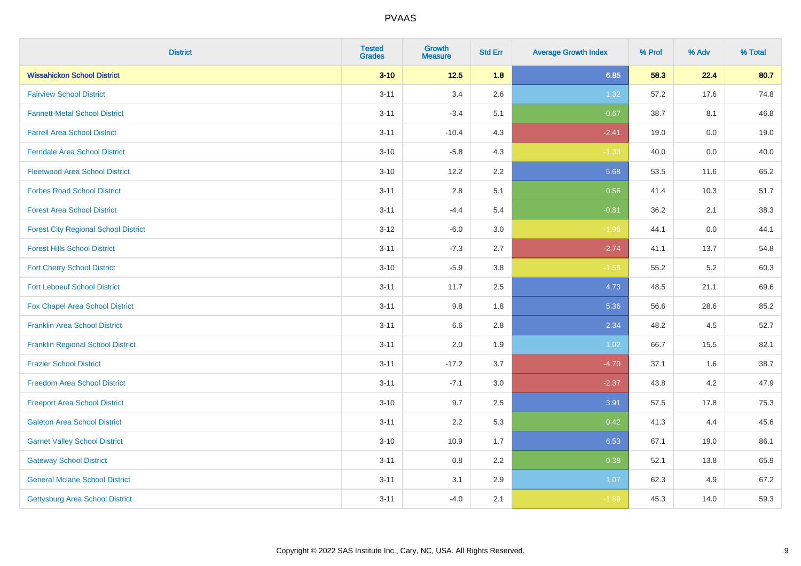| <b>District</b>                             | <b>Tested</b><br><b>Grades</b> | <b>Growth</b><br><b>Measure</b> | <b>Std Err</b> | <b>Average Growth Index</b> | % Prof | % Adv   | % Total |
|---------------------------------------------|--------------------------------|---------------------------------|----------------|-----------------------------|--------|---------|---------|
| <b>Wissahickon School District</b>          | $3 - 10$                       | $12.5$                          | 1.8            | 6.85                        | 58.3   | 22.4    | 80.7    |
| <b>Fairview School District</b>             | $3 - 11$                       | 3.4                             | 2.6            | 1.32                        | 57.2   | 17.6    | 74.8    |
| <b>Fannett-Metal School District</b>        | $3 - 11$                       | $-3.4$                          | 5.1            | $-0.67$                     | 38.7   | 8.1     | 46.8    |
| <b>Farrell Area School District</b>         | $3 - 11$                       | $-10.4$                         | 4.3            | $-2.41$                     | 19.0   | $0.0\,$ | 19.0    |
| <b>Ferndale Area School District</b>        | $3 - 10$                       | $-5.8$                          | 4.3            | $-1.33$                     | 40.0   | 0.0     | 40.0    |
| <b>Fleetwood Area School District</b>       | $3 - 10$                       | 12.2                            | 2.2            | 5.68                        | 53.5   | 11.6    | 65.2    |
| <b>Forbes Road School District</b>          | $3 - 11$                       | 2.8                             | 5.1            | 0.56                        | 41.4   | 10.3    | 51.7    |
| <b>Forest Area School District</b>          | $3 - 11$                       | $-4.4$                          | 5.4            | $-0.81$                     | 36.2   | 2.1     | 38.3    |
| <b>Forest City Regional School District</b> | $3 - 12$                       | $-6.0$                          | 3.0            | $-1.96$                     | 44.1   | $0.0\,$ | 44.1    |
| <b>Forest Hills School District</b>         | $3 - 11$                       | $-7.3$                          | 2.7            | $-2.74$                     | 41.1   | 13.7    | 54.8    |
| <b>Fort Cherry School District</b>          | $3 - 10$                       | $-5.9$                          | 3.8            | $-1.56$                     | 55.2   | $5.2\,$ | 60.3    |
| <b>Fort Leboeuf School District</b>         | $3 - 11$                       | 11.7                            | 2.5            | 4.73                        | 48.5   | 21.1    | 69.6    |
| Fox Chapel Area School District             | $3 - 11$                       | 9.8                             | 1.8            | 5.36                        | 56.6   | 28.6    | 85.2    |
| <b>Franklin Area School District</b>        | $3 - 11$                       | 6.6                             | 2.8            | 2.34                        | 48.2   | 4.5     | 52.7    |
| <b>Franklin Regional School District</b>    | $3 - 11$                       | 2.0                             | 1.9            | 1.02                        | 66.7   | 15.5    | 82.1    |
| <b>Frazier School District</b>              | $3 - 11$                       | $-17.2$                         | 3.7            | $-4.70$                     | 37.1   | 1.6     | 38.7    |
| <b>Freedom Area School District</b>         | $3 - 11$                       | $-7.1$                          | 3.0            | $-2.37$                     | 43.8   | 4.2     | 47.9    |
| <b>Freeport Area School District</b>        | $3 - 10$                       | 9.7                             | 2.5            | 3.91                        | 57.5   | 17.8    | 75.3    |
| <b>Galeton Area School District</b>         | $3 - 11$                       | 2.2                             | 5.3            | 0.42                        | 41.3   | 4.4     | 45.6    |
| <b>Garnet Valley School District</b>        | $3 - 10$                       | 10.9                            | 1.7            | 6.53                        | 67.1   | 19.0    | 86.1    |
| <b>Gateway School District</b>              | $3 - 11$                       | 0.8                             | 2.2            | 0.38                        | 52.1   | 13.8    | 65.9    |
| <b>General Mclane School District</b>       | $3 - 11$                       | 3.1                             | 2.9            | 1.07                        | 62.3   | 4.9     | 67.2    |
| Gettysburg Area School District             | $3 - 11$                       | $-4.0$                          | 2.1            | $-1.89$                     | 45.3   | 14.0    | 59.3    |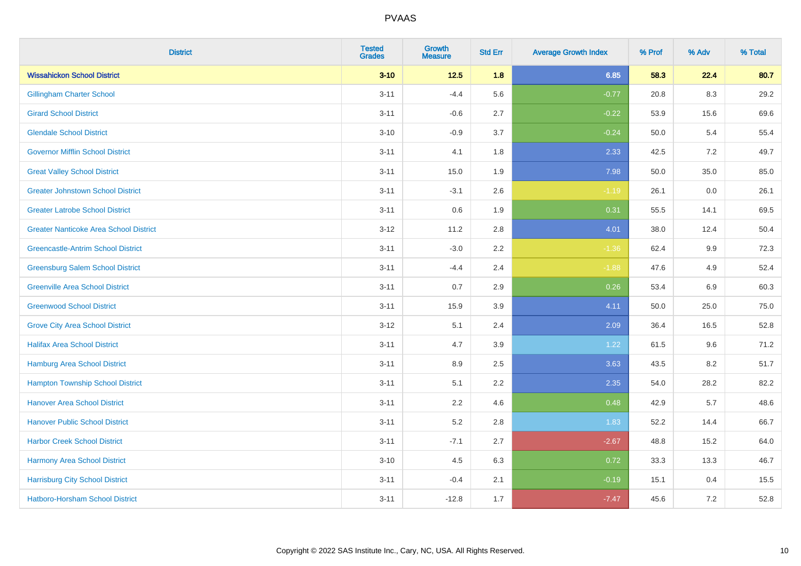| <b>District</b>                               | <b>Tested</b><br><b>Grades</b> | <b>Growth</b><br><b>Measure</b> | <b>Std Err</b> | <b>Average Growth Index</b> | % Prof | % Adv   | % Total |
|-----------------------------------------------|--------------------------------|---------------------------------|----------------|-----------------------------|--------|---------|---------|
| <b>Wissahickon School District</b>            | $3 - 10$                       | $12.5$                          | 1.8            | 6.85                        | 58.3   | 22.4    | 80.7    |
| <b>Gillingham Charter School</b>              | $3 - 11$                       | $-4.4$                          | 5.6            | $-0.77$                     | 20.8   | 8.3     | 29.2    |
| <b>Girard School District</b>                 | $3 - 11$                       | $-0.6$                          | 2.7            | $-0.22$                     | 53.9   | 15.6    | 69.6    |
| <b>Glendale School District</b>               | $3 - 10$                       | $-0.9$                          | 3.7            | $-0.24$                     | 50.0   | 5.4     | 55.4    |
| <b>Governor Mifflin School District</b>       | $3 - 11$                       | 4.1                             | 1.8            | 2.33                        | 42.5   | 7.2     | 49.7    |
| <b>Great Valley School District</b>           | $3 - 11$                       | 15.0                            | 1.9            | 7.98                        | 50.0   | 35.0    | 85.0    |
| <b>Greater Johnstown School District</b>      | $3 - 11$                       | $-3.1$                          | 2.6            | $-1.19$                     | 26.1   | $0.0\,$ | 26.1    |
| <b>Greater Latrobe School District</b>        | $3 - 11$                       | 0.6                             | 1.9            | 0.31                        | 55.5   | 14.1    | 69.5    |
| <b>Greater Nanticoke Area School District</b> | $3 - 12$                       | 11.2                            | 2.8            | 4.01                        | 38.0   | 12.4    | 50.4    |
| <b>Greencastle-Antrim School District</b>     | $3 - 11$                       | $-3.0$                          | $2.2\,$        | $-1.36$                     | 62.4   | 9.9     | 72.3    |
| <b>Greensburg Salem School District</b>       | $3 - 11$                       | $-4.4$                          | 2.4            | $-1.88$                     | 47.6   | 4.9     | 52.4    |
| <b>Greenville Area School District</b>        | $3 - 11$                       | 0.7                             | 2.9            | 0.26                        | 53.4   | 6.9     | 60.3    |
| <b>Greenwood School District</b>              | $3 - 11$                       | 15.9                            | 3.9            | 4.11                        | 50.0   | 25.0    | 75.0    |
| <b>Grove City Area School District</b>        | $3 - 12$                       | 5.1                             | 2.4            | 2.09                        | 36.4   | 16.5    | 52.8    |
| <b>Halifax Area School District</b>           | $3 - 11$                       | 4.7                             | 3.9            | 1.22                        | 61.5   | 9.6     | 71.2    |
| <b>Hamburg Area School District</b>           | $3 - 11$                       | 8.9                             | 2.5            | 3.63                        | 43.5   | 8.2     | 51.7    |
| <b>Hampton Township School District</b>       | $3 - 11$                       | 5.1                             | 2.2            | 2.35                        | 54.0   | 28.2    | 82.2    |
| <b>Hanover Area School District</b>           | $3 - 11$                       | 2.2                             | 4.6            | 0.48                        | 42.9   | 5.7     | 48.6    |
| <b>Hanover Public School District</b>         | $3 - 11$                       | 5.2                             | 2.8            | 1.83                        | 52.2   | 14.4    | 66.7    |
| <b>Harbor Creek School District</b>           | $3 - 11$                       | $-7.1$                          | 2.7            | $-2.67$                     | 48.8   | 15.2    | 64.0    |
| Harmony Area School District                  | $3 - 10$                       | 4.5                             | 6.3            | 0.72                        | 33.3   | 13.3    | 46.7    |
| <b>Harrisburg City School District</b>        | $3 - 11$                       | $-0.4$                          | 2.1            | $-0.19$                     | 15.1   | 0.4     | 15.5    |
| Hatboro-Horsham School District               | $3 - 11$                       | $-12.8$                         | 1.7            | $-7.47$                     | 45.6   | $7.2\,$ | 52.8    |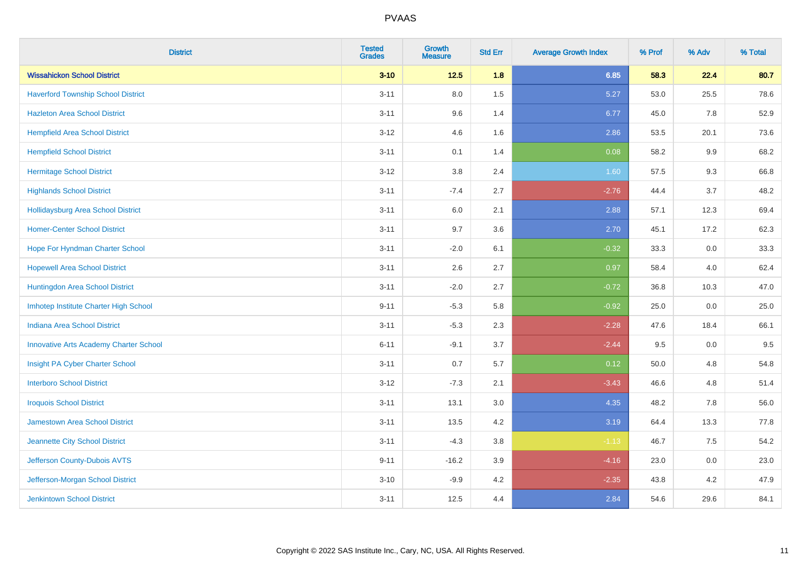| <b>District</b>                               | <b>Tested</b><br><b>Grades</b> | <b>Growth</b><br><b>Measure</b> | <b>Std Err</b> | <b>Average Growth Index</b> | % Prof | % Adv | % Total |
|-----------------------------------------------|--------------------------------|---------------------------------|----------------|-----------------------------|--------|-------|---------|
| <b>Wissahickon School District</b>            | $3 - 10$                       | $12.5$                          | 1.8            | 6.85                        | 58.3   | 22.4  | 80.7    |
| <b>Haverford Township School District</b>     | $3 - 11$                       | 8.0                             | 1.5            | 5.27                        | 53.0   | 25.5  | 78.6    |
| <b>Hazleton Area School District</b>          | $3 - 11$                       | 9.6                             | 1.4            | 6.77                        | 45.0   | 7.8   | 52.9    |
| <b>Hempfield Area School District</b>         | $3 - 12$                       | 4.6                             | 1.6            | 2.86                        | 53.5   | 20.1  | 73.6    |
| <b>Hempfield School District</b>              | $3 - 11$                       | 0.1                             | 1.4            | 0.08                        | 58.2   | 9.9   | 68.2    |
| <b>Hermitage School District</b>              | $3 - 12$                       | 3.8                             | 2.4            | 1.60                        | 57.5   | 9.3   | 66.8    |
| <b>Highlands School District</b>              | $3 - 11$                       | $-7.4$                          | 2.7            | $-2.76$                     | 44.4   | 3.7   | 48.2    |
| <b>Hollidaysburg Area School District</b>     | $3 - 11$                       | 6.0                             | 2.1            | 2.88                        | 57.1   | 12.3  | 69.4    |
| <b>Homer-Center School District</b>           | $3 - 11$                       | 9.7                             | 3.6            | 2.70                        | 45.1   | 17.2  | 62.3    |
| Hope For Hyndman Charter School               | $3 - 11$                       | $-2.0$                          | 6.1            | $-0.32$                     | 33.3   | 0.0   | 33.3    |
| <b>Hopewell Area School District</b>          | $3 - 11$                       | 2.6                             | 2.7            | 0.97                        | 58.4   | 4.0   | 62.4    |
| Huntingdon Area School District               | $3 - 11$                       | $-2.0$                          | 2.7            | $-0.72$                     | 36.8   | 10.3  | 47.0    |
| Imhotep Institute Charter High School         | $9 - 11$                       | $-5.3$                          | 5.8            | $-0.92$                     | 25.0   | 0.0   | 25.0    |
| <b>Indiana Area School District</b>           | $3 - 11$                       | $-5.3$                          | 2.3            | $-2.28$                     | 47.6   | 18.4  | 66.1    |
| <b>Innovative Arts Academy Charter School</b> | $6 - 11$                       | $-9.1$                          | 3.7            | $-2.44$                     | 9.5    | 0.0   | 9.5     |
| Insight PA Cyber Charter School               | $3 - 11$                       | 0.7                             | 5.7            | 0.12                        | 50.0   | 4.8   | 54.8    |
| <b>Interboro School District</b>              | $3 - 12$                       | $-7.3$                          | 2.1            | $-3.43$                     | 46.6   | 4.8   | 51.4    |
| <b>Iroquois School District</b>               | $3 - 11$                       | 13.1                            | 3.0            | 4.35                        | 48.2   | 7.8   | 56.0    |
| <b>Jamestown Area School District</b>         | $3 - 11$                       | 13.5                            | 4.2            | 3.19                        | 64.4   | 13.3  | 77.8    |
| Jeannette City School District                | $3 - 11$                       | $-4.3$                          | 3.8            | $-1.13$                     | 46.7   | 7.5   | 54.2    |
| Jefferson County-Dubois AVTS                  | $9 - 11$                       | $-16.2$                         | 3.9            | $-4.16$                     | 23.0   | 0.0   | 23.0    |
| Jefferson-Morgan School District              | $3 - 10$                       | $-9.9$                          | 4.2            | $-2.35$                     | 43.8   | 4.2   | 47.9    |
| <b>Jenkintown School District</b>             | $3 - 11$                       | 12.5                            | 4.4            | 2.84                        | 54.6   | 29.6  | 84.1    |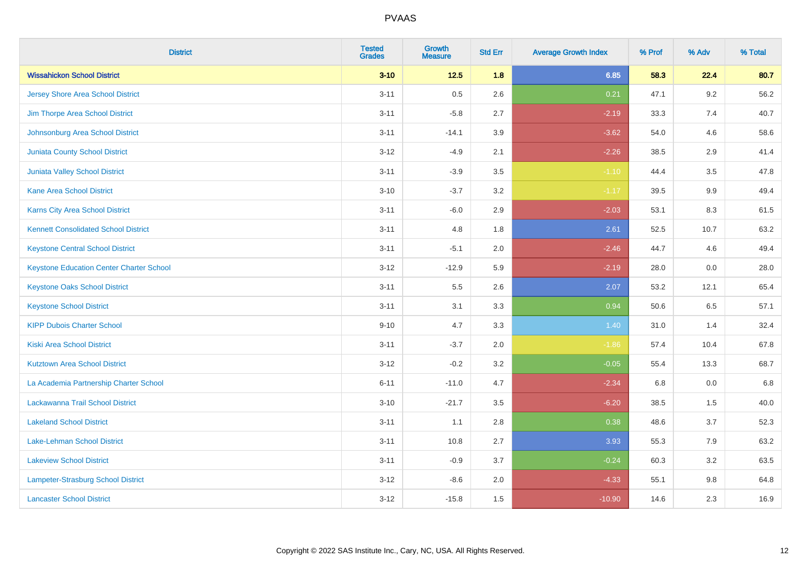| <b>District</b>                                 | <b>Tested</b><br><b>Grades</b> | <b>Growth</b><br><b>Measure</b> | <b>Std Err</b> | <b>Average Growth Index</b> | % Prof | % Adv   | % Total |
|-------------------------------------------------|--------------------------------|---------------------------------|----------------|-----------------------------|--------|---------|---------|
| <b>Wissahickon School District</b>              | $3 - 10$                       | $12.5$                          | 1.8            | 6.85                        | 58.3   | 22.4    | 80.7    |
| <b>Jersey Shore Area School District</b>        | $3 - 11$                       | 0.5                             | 2.6            | 0.21                        | 47.1   | $9.2\,$ | 56.2    |
| Jim Thorpe Area School District                 | $3 - 11$                       | $-5.8$                          | 2.7            | $-2.19$                     | 33.3   | 7.4     | 40.7    |
| Johnsonburg Area School District                | $3 - 11$                       | $-14.1$                         | 3.9            | $-3.62$                     | 54.0   | 4.6     | 58.6    |
| <b>Juniata County School District</b>           | $3 - 12$                       | $-4.9$                          | 2.1            | $-2.26$                     | 38.5   | 2.9     | 41.4    |
| Juniata Valley School District                  | $3 - 11$                       | $-3.9$                          | 3.5            | $-1.10$                     | 44.4   | 3.5     | 47.8    |
| <b>Kane Area School District</b>                | $3 - 10$                       | $-3.7$                          | 3.2            | $-1.17$                     | 39.5   | 9.9     | 49.4    |
| Karns City Area School District                 | $3 - 11$                       | $-6.0$                          | 2.9            | $-2.03$                     | 53.1   | 8.3     | 61.5    |
| <b>Kennett Consolidated School District</b>     | $3 - 11$                       | 4.8                             | 1.8            | 2.61                        | 52.5   | 10.7    | 63.2    |
| <b>Keystone Central School District</b>         | $3 - 11$                       | $-5.1$                          | 2.0            | $-2.46$                     | 44.7   | 4.6     | 49.4    |
| <b>Keystone Education Center Charter School</b> | $3 - 12$                       | $-12.9$                         | 5.9            | $-2.19$                     | 28.0   | 0.0     | 28.0    |
| <b>Keystone Oaks School District</b>            | $3 - 11$                       | 5.5                             | 2.6            | 2.07                        | 53.2   | 12.1    | 65.4    |
| <b>Keystone School District</b>                 | $3 - 11$                       | 3.1                             | 3.3            | 0.94                        | 50.6   | 6.5     | 57.1    |
| <b>KIPP Dubois Charter School</b>               | $9 - 10$                       | 4.7                             | 3.3            | 1.40                        | 31.0   | 1.4     | 32.4    |
| <b>Kiski Area School District</b>               | $3 - 11$                       | $-3.7$                          | 2.0            | $-1.86$                     | 57.4   | 10.4    | 67.8    |
| <b>Kutztown Area School District</b>            | $3 - 12$                       | $-0.2$                          | 3.2            | $-0.05$                     | 55.4   | 13.3    | 68.7    |
| La Academia Partnership Charter School          | $6 - 11$                       | $-11.0$                         | 4.7            | $-2.34$                     | 6.8    | 0.0     | 6.8     |
| Lackawanna Trail School District                | $3 - 10$                       | $-21.7$                         | 3.5            | $-6.20$                     | 38.5   | 1.5     | 40.0    |
| <b>Lakeland School District</b>                 | $3 - 11$                       | 1.1                             | 2.8            | 0.38                        | 48.6   | 3.7     | 52.3    |
| Lake-Lehman School District                     | $3 - 11$                       | 10.8                            | 2.7            | 3.93                        | 55.3   | 7.9     | 63.2    |
| <b>Lakeview School District</b>                 | $3 - 11$                       | $-0.9$                          | 3.7            | $-0.24$                     | 60.3   | 3.2     | 63.5    |
| <b>Lampeter-Strasburg School District</b>       | $3 - 12$                       | $-8.6$                          | 2.0            | $-4.33$                     | 55.1   | 9.8     | 64.8    |
| <b>Lancaster School District</b>                | $3 - 12$                       | $-15.8$                         | 1.5            | $-10.90$                    | 14.6   | 2.3     | 16.9    |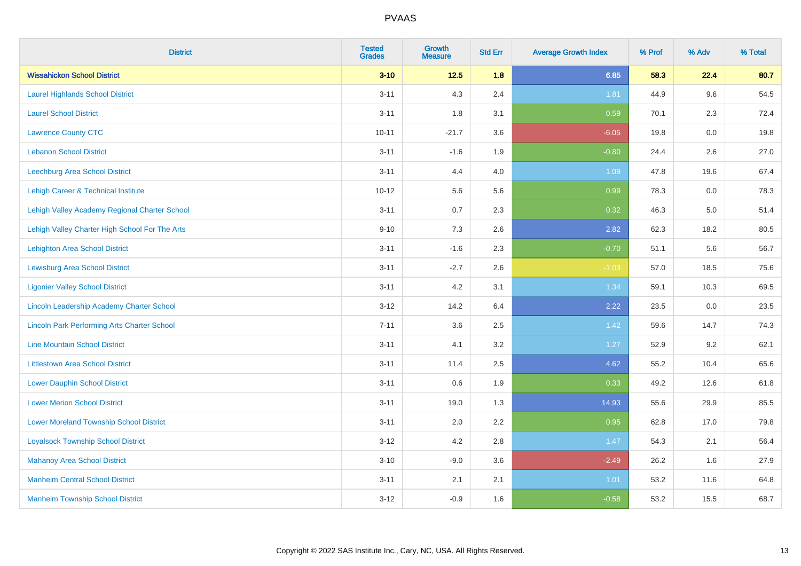| <b>District</b>                                    | <b>Tested</b><br><b>Grades</b> | <b>Growth</b><br><b>Measure</b> | <b>Std Err</b> | <b>Average Growth Index</b> | % Prof | % Adv | % Total |
|----------------------------------------------------|--------------------------------|---------------------------------|----------------|-----------------------------|--------|-------|---------|
| <b>Wissahickon School District</b>                 | $3 - 10$                       | $12.5$                          | 1.8            | 6.85                        | 58.3   | 22.4  | 80.7    |
| <b>Laurel Highlands School District</b>            | $3 - 11$                       | 4.3                             | 2.4            | 1.81                        | 44.9   | 9.6   | 54.5    |
| <b>Laurel School District</b>                      | $3 - 11$                       | 1.8                             | 3.1            | 0.59                        | 70.1   | 2.3   | 72.4    |
| <b>Lawrence County CTC</b>                         | $10 - 11$                      | $-21.7$                         | 3.6            | $-6.05$                     | 19.8   | 0.0   | 19.8    |
| <b>Lebanon School District</b>                     | $3 - 11$                       | $-1.6$                          | 1.9            | $-0.80$                     | 24.4   | 2.6   | 27.0    |
| Leechburg Area School District                     | $3 - 11$                       | 4.4                             | 4.0            | 1.09                        | 47.8   | 19.6  | 67.4    |
| <b>Lehigh Career &amp; Technical Institute</b>     | $10 - 12$                      | 5.6                             | 5.6            | 0.99                        | 78.3   | 0.0   | 78.3    |
| Lehigh Valley Academy Regional Charter School      | $3 - 11$                       | 0.7                             | 2.3            | 0.32                        | 46.3   | 5.0   | 51.4    |
| Lehigh Valley Charter High School For The Arts     | $9 - 10$                       | 7.3                             | 2.6            | 2.82                        | 62.3   | 18.2  | 80.5    |
| <b>Lehighton Area School District</b>              | $3 - 11$                       | $-1.6$                          | 2.3            | $-0.70$                     | 51.1   | 5.6   | 56.7    |
| <b>Lewisburg Area School District</b>              | $3 - 11$                       | $-2.7$                          | 2.6            | $-1.03$                     | 57.0   | 18.5  | 75.6    |
| <b>Ligonier Valley School District</b>             | $3 - 11$                       | 4.2                             | 3.1            | 1.34                        | 59.1   | 10.3  | 69.5    |
| Lincoln Leadership Academy Charter School          | $3 - 12$                       | 14.2                            | 6.4            | 2.22                        | 23.5   | 0.0   | 23.5    |
| <b>Lincoln Park Performing Arts Charter School</b> | $7 - 11$                       | 3.6                             | 2.5            | 1.42                        | 59.6   | 14.7  | 74.3    |
| <b>Line Mountain School District</b>               | $3 - 11$                       | 4.1                             | 3.2            | 1.27                        | 52.9   | 9.2   | 62.1    |
| <b>Littlestown Area School District</b>            | $3 - 11$                       | 11.4                            | 2.5            | 4.62                        | 55.2   | 10.4  | 65.6    |
| <b>Lower Dauphin School District</b>               | $3 - 11$                       | 0.6                             | 1.9            | 0.33                        | 49.2   | 12.6  | 61.8    |
| <b>Lower Merion School District</b>                | $3 - 11$                       | 19.0                            | 1.3            | 14.93                       | 55.6   | 29.9  | 85.5    |
| <b>Lower Moreland Township School District</b>     | $3 - 11$                       | 2.0                             | 2.2            | 0.95                        | 62.8   | 17.0  | 79.8    |
| <b>Loyalsock Township School District</b>          | $3 - 12$                       | 4.2                             | 2.8            | 1.47                        | 54.3   | 2.1   | 56.4    |
| <b>Mahanoy Area School District</b>                | $3 - 10$                       | $-9.0$                          | 3.6            | $-2.49$                     | 26.2   | 1.6   | 27.9    |
| <b>Manheim Central School District</b>             | $3 - 11$                       | 2.1                             | 2.1            | 1.01                        | 53.2   | 11.6  | 64.8    |
| <b>Manheim Township School District</b>            | $3 - 12$                       | $-0.9$                          | 1.6            | $-0.58$                     | 53.2   | 15.5  | 68.7    |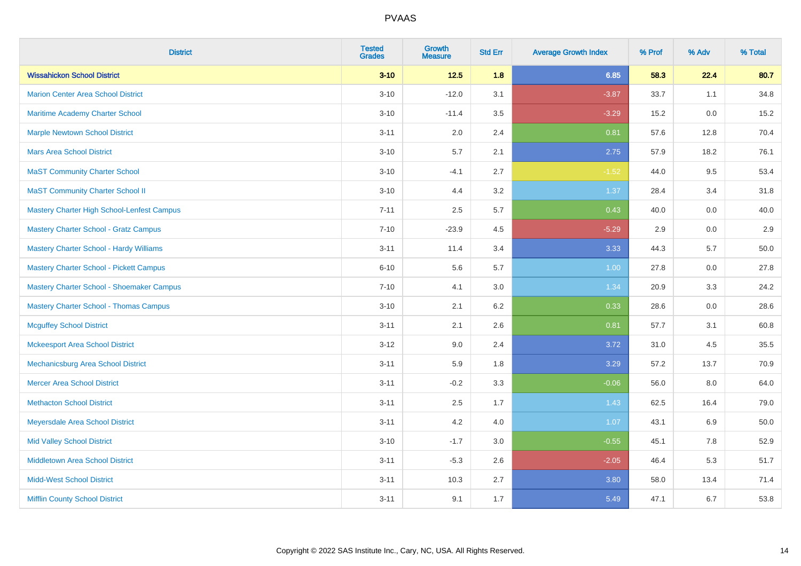| <b>District</b>                                   | <b>Tested</b><br><b>Grades</b> | <b>Growth</b><br><b>Measure</b> | <b>Std Err</b> | <b>Average Growth Index</b> | % Prof | % Adv | % Total |
|---------------------------------------------------|--------------------------------|---------------------------------|----------------|-----------------------------|--------|-------|---------|
| <b>Wissahickon School District</b>                | $3 - 10$                       | $12.5$                          | 1.8            | 6.85                        | 58.3   | 22.4  | 80.7    |
| <b>Marion Center Area School District</b>         | $3 - 10$                       | $-12.0$                         | 3.1            | $-3.87$                     | 33.7   | 1.1   | 34.8    |
| <b>Maritime Academy Charter School</b>            | $3 - 10$                       | $-11.4$                         | 3.5            | $-3.29$                     | 15.2   | 0.0   | 15.2    |
| <b>Marple Newtown School District</b>             | $3 - 11$                       | 2.0                             | 2.4            | 0.81                        | 57.6   | 12.8  | 70.4    |
| <b>Mars Area School District</b>                  | $3 - 10$                       | 5.7                             | 2.1            | 2.75                        | 57.9   | 18.2  | 76.1    |
| <b>MaST Community Charter School</b>              | $3 - 10$                       | $-4.1$                          | 2.7            | $-1.52$                     | 44.0   | 9.5   | 53.4    |
| <b>MaST Community Charter School II</b>           | $3 - 10$                       | 4.4                             | 3.2            | 1.37                        | 28.4   | 3.4   | 31.8    |
| <b>Mastery Charter High School-Lenfest Campus</b> | $7 - 11$                       | 2.5                             | 5.7            | 0.43                        | 40.0   | 0.0   | 40.0    |
| <b>Mastery Charter School - Gratz Campus</b>      | $7 - 10$                       | $-23.9$                         | 4.5            | $-5.29$                     | 2.9    | 0.0   | 2.9     |
| <b>Mastery Charter School - Hardy Williams</b>    | $3 - 11$                       | 11.4                            | 3.4            | 3.33                        | 44.3   | 5.7   | 50.0    |
| <b>Mastery Charter School - Pickett Campus</b>    | $6 - 10$                       | 5.6                             | 5.7            | 1.00                        | 27.8   | 0.0   | 27.8    |
| Mastery Charter School - Shoemaker Campus         | $7 - 10$                       | 4.1                             | 3.0            | 1.34                        | 20.9   | 3.3   | 24.2    |
| <b>Mastery Charter School - Thomas Campus</b>     | $3 - 10$                       | 2.1                             | 6.2            | 0.33                        | 28.6   | 0.0   | 28.6    |
| <b>Mcguffey School District</b>                   | $3 - 11$                       | 2.1                             | 2.6            | 0.81                        | 57.7   | 3.1   | 60.8    |
| <b>Mckeesport Area School District</b>            | $3 - 12$                       | 9.0                             | 2.4            | 3.72                        | 31.0   | 4.5   | 35.5    |
| Mechanicsburg Area School District                | $3 - 11$                       | 5.9                             | 1.8            | 3.29                        | 57.2   | 13.7  | 70.9    |
| <b>Mercer Area School District</b>                | $3 - 11$                       | $-0.2$                          | 3.3            | $-0.06$                     | 56.0   | 8.0   | 64.0    |
| <b>Methacton School District</b>                  | $3 - 11$                       | 2.5                             | 1.7            | 1.43                        | 62.5   | 16.4  | 79.0    |
| Meyersdale Area School District                   | $3 - 11$                       | 4.2                             | 4.0            | 1.07                        | 43.1   | 6.9   | 50.0    |
| <b>Mid Valley School District</b>                 | $3 - 10$                       | $-1.7$                          | 3.0            | $-0.55$                     | 45.1   | 7.8   | 52.9    |
| <b>Middletown Area School District</b>            | $3 - 11$                       | $-5.3$                          | 2.6            | $-2.05$                     | 46.4   | 5.3   | 51.7    |
| <b>Midd-West School District</b>                  | $3 - 11$                       | 10.3                            | 2.7            | 3.80                        | 58.0   | 13.4  | 71.4    |
| <b>Mifflin County School District</b>             | $3 - 11$                       | 9.1                             | 1.7            | 5.49                        | 47.1   | 6.7   | 53.8    |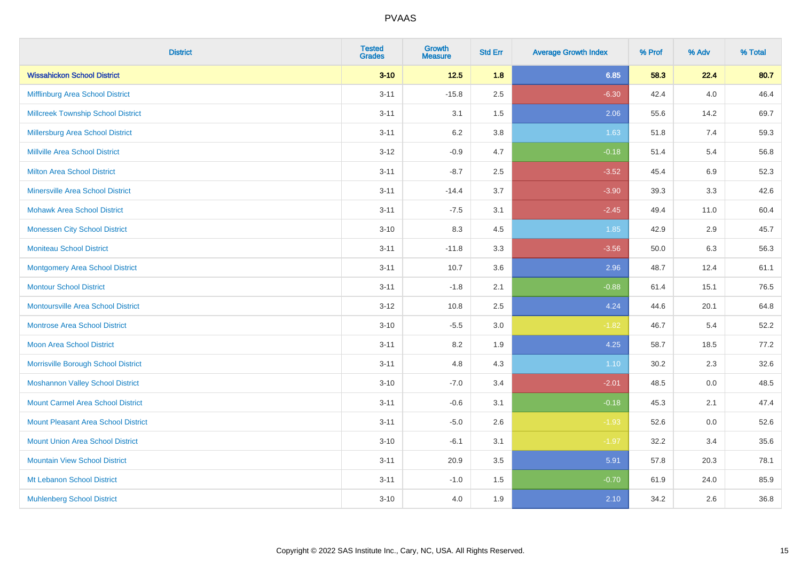| <b>District</b>                            | <b>Tested</b><br><b>Grades</b> | <b>Growth</b><br><b>Measure</b> | <b>Std Err</b> | <b>Average Growth Index</b> | % Prof | % Adv   | % Total |
|--------------------------------------------|--------------------------------|---------------------------------|----------------|-----------------------------|--------|---------|---------|
| <b>Wissahickon School District</b>         | $3 - 10$                       | $12.5$                          | 1.8            | 6.85                        | 58.3   | 22.4    | 80.7    |
| Mifflinburg Area School District           | $3 - 11$                       | $-15.8$                         | 2.5            | $-6.30$                     | 42.4   | 4.0     | 46.4    |
| <b>Millcreek Township School District</b>  | $3 - 11$                       | 3.1                             | 1.5            | 2.06                        | 55.6   | 14.2    | 69.7    |
| <b>Millersburg Area School District</b>    | $3 - 11$                       | 6.2                             | 3.8            | 1.63                        | 51.8   | 7.4     | 59.3    |
| <b>Millville Area School District</b>      | $3 - 12$                       | $-0.9$                          | 4.7            | $-0.18$                     | 51.4   | 5.4     | 56.8    |
| <b>Milton Area School District</b>         | $3 - 11$                       | $-8.7$                          | 2.5            | $-3.52$                     | 45.4   | $6.9\,$ | 52.3    |
| <b>Minersville Area School District</b>    | $3 - 11$                       | $-14.4$                         | 3.7            | $-3.90$                     | 39.3   | 3.3     | 42.6    |
| <b>Mohawk Area School District</b>         | $3 - 11$                       | $-7.5$                          | 3.1            | $-2.45$                     | 49.4   | 11.0    | 60.4    |
| <b>Monessen City School District</b>       | $3 - 10$                       | 8.3                             | 4.5            | 1.85                        | 42.9   | 2.9     | 45.7    |
| <b>Moniteau School District</b>            | $3 - 11$                       | $-11.8$                         | 3.3            | $-3.56$                     | 50.0   | 6.3     | 56.3    |
| <b>Montgomery Area School District</b>     | $3 - 11$                       | 10.7                            | 3.6            | 2.96                        | 48.7   | 12.4    | 61.1    |
| <b>Montour School District</b>             | $3 - 11$                       | $-1.8$                          | 2.1            | $-0.88$                     | 61.4   | 15.1    | 76.5    |
| <b>Montoursville Area School District</b>  | $3 - 12$                       | 10.8                            | 2.5            | 4.24                        | 44.6   | 20.1    | 64.8    |
| <b>Montrose Area School District</b>       | $3 - 10$                       | $-5.5$                          | 3.0            | $-1.82$                     | 46.7   | 5.4     | 52.2    |
| Moon Area School District                  | $3 - 11$                       | 8.2                             | 1.9            | 4.25                        | 58.7   | 18.5    | 77.2    |
| Morrisville Borough School District        | $3 - 11$                       | 4.8                             | 4.3            | 1.10                        | 30.2   | 2.3     | 32.6    |
| <b>Moshannon Valley School District</b>    | $3 - 10$                       | $-7.0$                          | 3.4            | $-2.01$                     | 48.5   | 0.0     | 48.5    |
| <b>Mount Carmel Area School District</b>   | $3 - 11$                       | $-0.6$                          | 3.1            | $-0.18$                     | 45.3   | 2.1     | 47.4    |
| <b>Mount Pleasant Area School District</b> | $3 - 11$                       | $-5.0$                          | 2.6            | $-1.93$                     | 52.6   | 0.0     | 52.6    |
| <b>Mount Union Area School District</b>    | $3 - 10$                       | $-6.1$                          | 3.1            | $-1.97$                     | 32.2   | 3.4     | 35.6    |
| <b>Mountain View School District</b>       | $3 - 11$                       | 20.9                            | 3.5            | 5.91                        | 57.8   | 20.3    | 78.1    |
| Mt Lebanon School District                 | $3 - 11$                       | $-1.0$                          | 1.5            | $-0.70$                     | 61.9   | 24.0    | 85.9    |
| <b>Muhlenberg School District</b>          | $3 - 10$                       | 4.0                             | 1.9            | 2.10                        | 34.2   | 2.6     | 36.8    |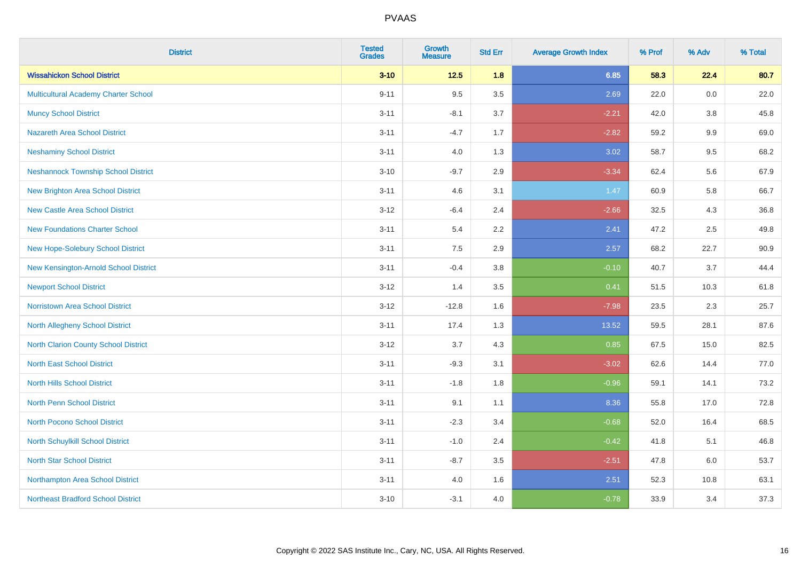| <b>District</b>                            | <b>Tested</b><br><b>Grades</b> | <b>Growth</b><br><b>Measure</b> | <b>Std Err</b> | <b>Average Growth Index</b> | % Prof | % Adv   | % Total |
|--------------------------------------------|--------------------------------|---------------------------------|----------------|-----------------------------|--------|---------|---------|
| <b>Wissahickon School District</b>         | $3 - 10$                       | $12.5$                          | 1.8            | 6.85                        | 58.3   | 22.4    | 80.7    |
| Multicultural Academy Charter School       | $9 - 11$                       | 9.5                             | 3.5            | 2.69                        | 22.0   | 0.0     | 22.0    |
| <b>Muncy School District</b>               | $3 - 11$                       | $-8.1$                          | 3.7            | $-2.21$                     | 42.0   | 3.8     | 45.8    |
| <b>Nazareth Area School District</b>       | $3 - 11$                       | $-4.7$                          | 1.7            | $-2.82$                     | 59.2   | $9.9\,$ | 69.0    |
| <b>Neshaminy School District</b>           | $3 - 11$                       | 4.0                             | 1.3            | 3.02                        | 58.7   | 9.5     | 68.2    |
| <b>Neshannock Township School District</b> | $3 - 10$                       | $-9.7$                          | 2.9            | $-3.34$                     | 62.4   | 5.6     | 67.9    |
| <b>New Brighton Area School District</b>   | $3 - 11$                       | 4.6                             | 3.1            | 1.47                        | 60.9   | 5.8     | 66.7    |
| <b>New Castle Area School District</b>     | $3 - 12$                       | $-6.4$                          | 2.4            | $-2.66$                     | 32.5   | 4.3     | 36.8    |
| <b>New Foundations Charter School</b>      | $3 - 11$                       | 5.4                             | 2.2            | 2.41                        | 47.2   | 2.5     | 49.8    |
| New Hope-Solebury School District          | $3 - 11$                       | 7.5                             | 2.9            | 2.57                        | 68.2   | 22.7    | 90.9    |
| New Kensington-Arnold School District      | $3 - 11$                       | $-0.4$                          | 3.8            | $-0.10$                     | 40.7   | 3.7     | 44.4    |
| <b>Newport School District</b>             | $3 - 12$                       | 1.4                             | 3.5            | 0.41                        | 51.5   | 10.3    | 61.8    |
| Norristown Area School District            | $3 - 12$                       | $-12.8$                         | 1.6            | $-7.98$                     | 23.5   | $2.3\,$ | 25.7    |
| North Allegheny School District            | $3 - 11$                       | 17.4                            | 1.3            | 13.52                       | 59.5   | 28.1    | 87.6    |
| North Clarion County School District       | $3 - 12$                       | 3.7                             | 4.3            | 0.85                        | 67.5   | 15.0    | 82.5    |
| <b>North East School District</b>          | $3 - 11$                       | $-9.3$                          | 3.1            | $-3.02$                     | 62.6   | 14.4    | 77.0    |
| <b>North Hills School District</b>         | $3 - 11$                       | $-1.8$                          | 1.8            | $-0.96$                     | 59.1   | 14.1    | 73.2    |
| North Penn School District                 | $3 - 11$                       | 9.1                             | 1.1            | 8.36                        | 55.8   | 17.0    | 72.8    |
| <b>North Pocono School District</b>        | $3 - 11$                       | $-2.3$                          | 3.4            | $-0.68$                     | 52.0   | 16.4    | 68.5    |
| North Schuylkill School District           | $3 - 11$                       | $-1.0$                          | 2.4            | $-0.42$                     | 41.8   | 5.1     | 46.8    |
| <b>North Star School District</b>          | $3 - 11$                       | $-8.7$                          | 3.5            | $-2.51$                     | 47.8   | 6.0     | 53.7    |
| Northampton Area School District           | $3 - 11$                       | 4.0                             | 1.6            | 2.51                        | 52.3   | 10.8    | 63.1    |
| <b>Northeast Bradford School District</b>  | $3 - 10$                       | $-3.1$                          | 4.0            | $-0.78$                     | 33.9   | 3.4     | 37.3    |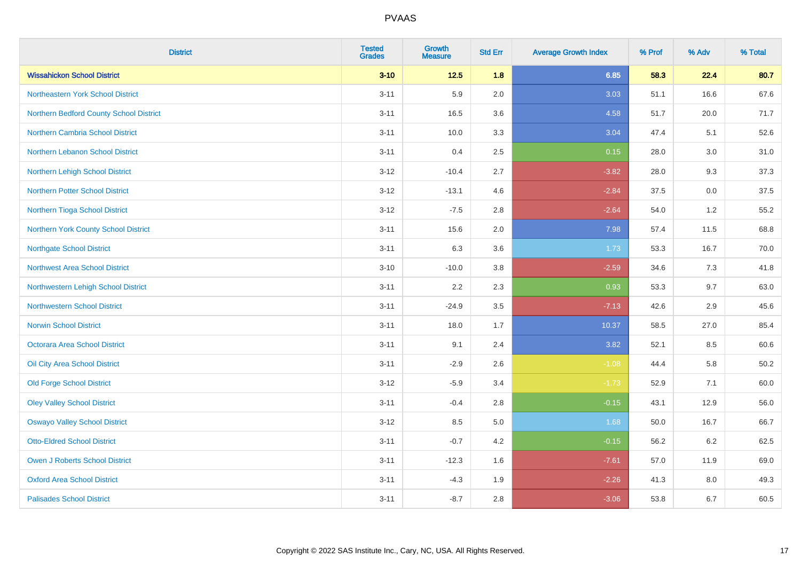| <b>District</b>                         | <b>Tested</b><br><b>Grades</b> | <b>Growth</b><br><b>Measure</b> | <b>Std Err</b> | <b>Average Growth Index</b> | % Prof | % Adv | % Total  |
|-----------------------------------------|--------------------------------|---------------------------------|----------------|-----------------------------|--------|-------|----------|
| <b>Wissahickon School District</b>      | $3 - 10$                       | $12.5$                          | 1.8            | 6.85                        | 58.3   | 22.4  | 80.7     |
| Northeastern York School District       | $3 - 11$                       | 5.9                             | 2.0            | 3.03                        | 51.1   | 16.6  | 67.6     |
| Northern Bedford County School District | $3 - 11$                       | 16.5                            | 3.6            | 4.58                        | 51.7   | 20.0  | 71.7     |
| <b>Northern Cambria School District</b> | $3 - 11$                       | 10.0                            | 3.3            | 3.04                        | 47.4   | 5.1   | 52.6     |
| Northern Lebanon School District        | $3 - 11$                       | 0.4                             | 2.5            | 0.15                        | 28.0   | 3.0   | 31.0     |
| Northern Lehigh School District         | $3 - 12$                       | $-10.4$                         | 2.7            | $-3.82$                     | 28.0   | 9.3   | 37.3     |
| <b>Northern Potter School District</b>  | $3 - 12$                       | $-13.1$                         | 4.6            | $-2.84$                     | 37.5   | 0.0   | 37.5     |
| Northern Tioga School District          | $3 - 12$                       | $-7.5$                          | 2.8            | $-2.64$                     | 54.0   | 1.2   | 55.2     |
| Northern York County School District    | $3 - 11$                       | 15.6                            | 2.0            | 7.98                        | 57.4   | 11.5  | 68.8     |
| <b>Northgate School District</b>        | $3 - 11$                       | 6.3                             | 3.6            | 1.73                        | 53.3   | 16.7  | 70.0     |
| <b>Northwest Area School District</b>   | $3 - 10$                       | $-10.0$                         | $3.8\,$        | $-2.59$                     | 34.6   | 7.3   | 41.8     |
| Northwestern Lehigh School District     | $3 - 11$                       | 2.2                             | 2.3            | 0.93                        | 53.3   | 9.7   | 63.0     |
| <b>Northwestern School District</b>     | $3 - 11$                       | $-24.9$                         | 3.5            | $-7.13$                     | 42.6   | 2.9   | 45.6     |
| <b>Norwin School District</b>           | $3 - 11$                       | 18.0                            | 1.7            | 10.37                       | 58.5   | 27.0  | 85.4     |
| Octorara Area School District           | $3 - 11$                       | 9.1                             | 2.4            | 3.82                        | 52.1   | 8.5   | 60.6     |
| Oil City Area School District           | $3 - 11$                       | $-2.9$                          | 2.6            | $-1.08$                     | 44.4   | 5.8   | $50.2\,$ |
| <b>Old Forge School District</b>        | $3 - 12$                       | $-5.9$                          | 3.4            | $-1.73$                     | 52.9   | 7.1   | 60.0     |
| <b>Oley Valley School District</b>      | $3 - 11$                       | $-0.4$                          | 2.8            | $-0.15$                     | 43.1   | 12.9  | 56.0     |
| <b>Oswayo Valley School District</b>    | $3 - 12$                       | 8.5                             | $5.0\,$        | 1.68                        | 50.0   | 16.7  | 66.7     |
| <b>Otto-Eldred School District</b>      | $3 - 11$                       | $-0.7$                          | 4.2            | $-0.15$                     | 56.2   | 6.2   | 62.5     |
| <b>Owen J Roberts School District</b>   | $3 - 11$                       | $-12.3$                         | 1.6            | $-7.61$                     | 57.0   | 11.9  | 69.0     |
| <b>Oxford Area School District</b>      | $3 - 11$                       | $-4.3$                          | 1.9            | $-2.26$                     | 41.3   | 8.0   | 49.3     |
| <b>Palisades School District</b>        | $3 - 11$                       | $-8.7$                          | 2.8            | $-3.06$                     | 53.8   | 6.7   | 60.5     |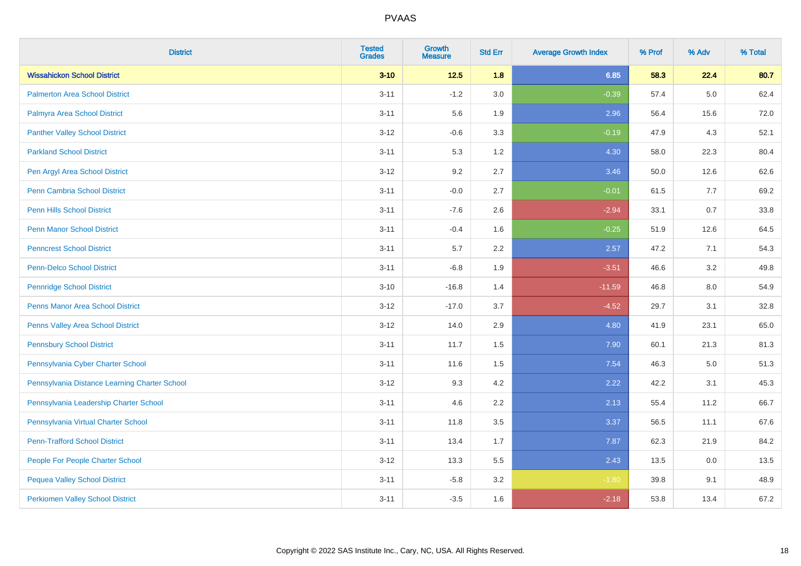| <b>District</b>                               | <b>Tested</b><br><b>Grades</b> | Growth<br><b>Measure</b> | <b>Std Err</b> | <b>Average Growth Index</b> | % Prof | % Adv   | % Total |
|-----------------------------------------------|--------------------------------|--------------------------|----------------|-----------------------------|--------|---------|---------|
| <b>Wissahickon School District</b>            | $3 - 10$                       | $12.5$                   | 1.8            | 6.85                        | 58.3   | 22.4    | 80.7    |
| <b>Palmerton Area School District</b>         | $3 - 11$                       | $-1.2$                   | 3.0            | $-0.39$                     | 57.4   | 5.0     | 62.4    |
| Palmyra Area School District                  | $3 - 11$                       | 5.6                      | 1.9            | 2.96                        | 56.4   | 15.6    | 72.0    |
| <b>Panther Valley School District</b>         | $3 - 12$                       | $-0.6$                   | 3.3            | $-0.19$                     | 47.9   | 4.3     | 52.1    |
| <b>Parkland School District</b>               | $3 - 11$                       | 5.3                      | 1.2            | 4.30                        | 58.0   | 22.3    | 80.4    |
| Pen Argyl Area School District                | $3 - 12$                       | 9.2                      | 2.7            | 3.46                        | 50.0   | 12.6    | 62.6    |
| <b>Penn Cambria School District</b>           | $3 - 11$                       | $-0.0$                   | 2.7            | $-0.01$                     | 61.5   | 7.7     | 69.2    |
| <b>Penn Hills School District</b>             | $3 - 11$                       | $-7.6$                   | 2.6            | $-2.94$                     | 33.1   | 0.7     | 33.8    |
| <b>Penn Manor School District</b>             | $3 - 11$                       | $-0.4$                   | 1.6            | $-0.25$                     | 51.9   | 12.6    | 64.5    |
| <b>Penncrest School District</b>              | $3 - 11$                       | 5.7                      | 2.2            | 2.57                        | 47.2   | 7.1     | 54.3    |
| Penn-Delco School District                    | $3 - 11$                       | $-6.8$                   | 1.9            | $-3.51$                     | 46.6   | 3.2     | 49.8    |
| <b>Pennridge School District</b>              | $3 - 10$                       | $-16.8$                  | 1.4            | $-11.59$                    | 46.8   | 8.0     | 54.9    |
| <b>Penns Manor Area School District</b>       | $3 - 12$                       | $-17.0$                  | 3.7            | $-4.52$                     | 29.7   | 3.1     | 32.8    |
| Penns Valley Area School District             | $3 - 12$                       | 14.0                     | 2.9            | 4.80                        | 41.9   | 23.1    | 65.0    |
| <b>Pennsbury School District</b>              | $3 - 11$                       | 11.7                     | 1.5            | 7.90                        | 60.1   | 21.3    | 81.3    |
| Pennsylvania Cyber Charter School             | $3 - 11$                       | 11.6                     | 1.5            | 7.54                        | 46.3   | $5.0\,$ | 51.3    |
| Pennsylvania Distance Learning Charter School | $3 - 12$                       | 9.3                      | 4.2            | 2.22                        | 42.2   | 3.1     | 45.3    |
| Pennsylvania Leadership Charter School        | $3 - 11$                       | 4.6                      | 2.2            | 2.13                        | 55.4   | 11.2    | 66.7    |
| Pennsylvania Virtual Charter School           | $3 - 11$                       | 11.8                     | 3.5            | 3.37                        | 56.5   | 11.1    | 67.6    |
| <b>Penn-Trafford School District</b>          | $3 - 11$                       | 13.4                     | 1.7            | 7.87                        | 62.3   | 21.9    | 84.2    |
| People For People Charter School              | $3 - 12$                       | 13.3                     | 5.5            | 2.43                        | 13.5   | 0.0     | 13.5    |
| <b>Pequea Valley School District</b>          | $3 - 11$                       | $-5.8$                   | 3.2            | $-1.80$                     | 39.8   | 9.1     | 48.9    |
| <b>Perkiomen Valley School District</b>       | $3 - 11$                       | $-3.5$                   | 1.6            | $-2.18$                     | 53.8   | 13.4    | 67.2    |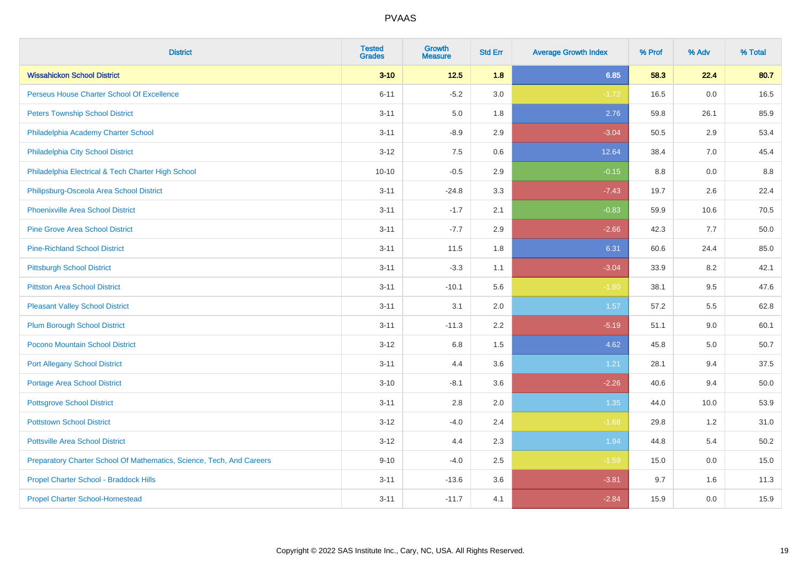| <b>District</b>                                                       | <b>Tested</b><br><b>Grades</b> | <b>Growth</b><br><b>Measure</b> | <b>Std Err</b> | <b>Average Growth Index</b> | % Prof | % Adv | % Total |
|-----------------------------------------------------------------------|--------------------------------|---------------------------------|----------------|-----------------------------|--------|-------|---------|
| <b>Wissahickon School District</b>                                    | $3 - 10$                       | $12.5$                          | 1.8            | 6.85                        | 58.3   | 22.4  | 80.7    |
| Perseus House Charter School Of Excellence                            | $6 - 11$                       | $-5.2$                          | 3.0            | $-1.72$                     | 16.5   | 0.0   | 16.5    |
| <b>Peters Township School District</b>                                | $3 - 11$                       | 5.0                             | 1.8            | 2.76                        | 59.8   | 26.1  | 85.9    |
| Philadelphia Academy Charter School                                   | $3 - 11$                       | $-8.9$                          | 2.9            | $-3.04$                     | 50.5   | 2.9   | 53.4    |
| Philadelphia City School District                                     | $3 - 12$                       | 7.5                             | 0.6            | 12.64                       | 38.4   | 7.0   | 45.4    |
| Philadelphia Electrical & Tech Charter High School                    | $10 - 10$                      | $-0.5$                          | 2.9            | $-0.15$                     | 8.8    | 0.0   | 8.8     |
| Philipsburg-Osceola Area School District                              | $3 - 11$                       | $-24.8$                         | 3.3            | $-7.43$                     | 19.7   | 2.6   | 22.4    |
| <b>Phoenixville Area School District</b>                              | $3 - 11$                       | $-1.7$                          | 2.1            | $-0.83$                     | 59.9   | 10.6  | 70.5    |
| <b>Pine Grove Area School District</b>                                | $3 - 11$                       | $-7.7$                          | 2.9            | $-2.66$                     | 42.3   | 7.7   | 50.0    |
| <b>Pine-Richland School District</b>                                  | $3 - 11$                       | 11.5                            | 1.8            | 6.31                        | 60.6   | 24.4  | 85.0    |
| <b>Pittsburgh School District</b>                                     | $3 - 11$                       | $-3.3$                          | 1.1            | $-3.04$                     | 33.9   | 8.2   | 42.1    |
| <b>Pittston Area School District</b>                                  | $3 - 11$                       | $-10.1$                         | 5.6            | $-1.80$                     | 38.1   | 9.5   | 47.6    |
| <b>Pleasant Valley School District</b>                                | $3 - 11$                       | 3.1                             | 2.0            | 1.57                        | 57.2   | 5.5   | 62.8    |
| <b>Plum Borough School District</b>                                   | $3 - 11$                       | $-11.3$                         | 2.2            | $-5.19$                     | 51.1   | 9.0   | 60.1    |
| Pocono Mountain School District                                       | $3 - 12$                       | 6.8                             | 1.5            | 4.62                        | 45.8   | 5.0   | 50.7    |
| <b>Port Allegany School District</b>                                  | $3 - 11$                       | 4.4                             | 3.6            | 1.21                        | 28.1   | 9.4   | 37.5    |
| <b>Portage Area School District</b>                                   | $3 - 10$                       | $-8.1$                          | 3.6            | $-2.26$                     | 40.6   | 9.4   | 50.0    |
| <b>Pottsgrove School District</b>                                     | $3 - 11$                       | 2.8                             | 2.0            | 1.35                        | 44.0   | 10.0  | 53.9    |
| <b>Pottstown School District</b>                                      | $3 - 12$                       | $-4.0$                          | 2.4            | $-1.68$                     | 29.8   | 1.2   | 31.0    |
| <b>Pottsville Area School District</b>                                | $3 - 12$                       | 4.4                             | 2.3            | 1.94                        | 44.8   | 5.4   | 50.2    |
| Preparatory Charter School Of Mathematics, Science, Tech, And Careers | $9 - 10$                       | $-4.0$                          | 2.5            | $-1.59$                     | 15.0   | 0.0   | 15.0    |
| Propel Charter School - Braddock Hills                                | $3 - 11$                       | $-13.6$                         | 3.6            | $-3.81$                     | 9.7    | 1.6   | 11.3    |
| <b>Propel Charter School-Homestead</b>                                | $3 - 11$                       | $-11.7$                         | 4.1            | $-2.84$                     | 15.9   | 0.0   | 15.9    |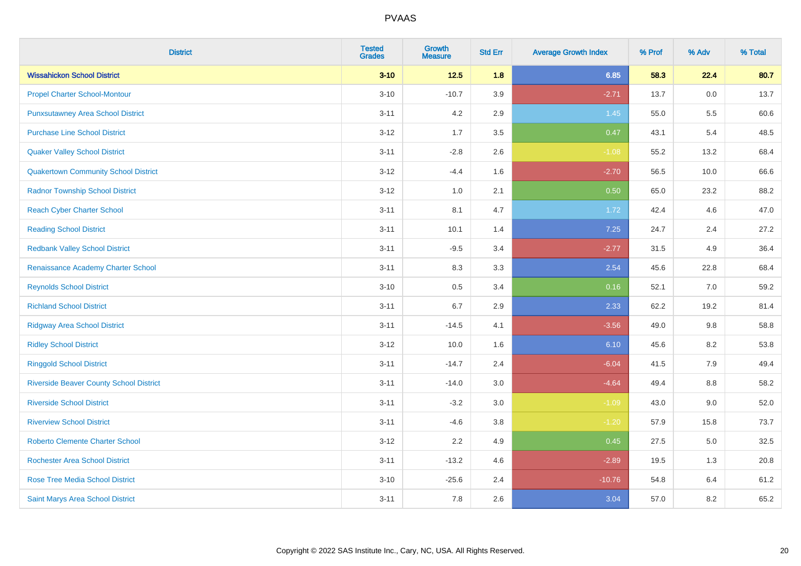| <b>District</b>                                | <b>Tested</b><br><b>Grades</b> | <b>Growth</b><br><b>Measure</b> | <b>Std Err</b> | <b>Average Growth Index</b> | % Prof | % Adv | % Total |
|------------------------------------------------|--------------------------------|---------------------------------|----------------|-----------------------------|--------|-------|---------|
| <b>Wissahickon School District</b>             | $3 - 10$                       | $12.5$                          | 1.8            | 6.85                        | 58.3   | 22.4  | 80.7    |
| <b>Propel Charter School-Montour</b>           | $3 - 10$                       | $-10.7$                         | 3.9            | $-2.71$                     | 13.7   | 0.0   | 13.7    |
| <b>Punxsutawney Area School District</b>       | $3 - 11$                       | 4.2                             | 2.9            | 1.45                        | 55.0   | 5.5   | 60.6    |
| <b>Purchase Line School District</b>           | $3 - 12$                       | 1.7                             | 3.5            | 0.47                        | 43.1   | 5.4   | 48.5    |
| <b>Quaker Valley School District</b>           | $3 - 11$                       | $-2.8$                          | 2.6            | $-1.08$                     | 55.2   | 13.2  | 68.4    |
| <b>Quakertown Community School District</b>    | $3 - 12$                       | $-4.4$                          | 1.6            | $-2.70$                     | 56.5   | 10.0  | 66.6    |
| <b>Radnor Township School District</b>         | $3 - 12$                       | 1.0                             | 2.1            | 0.50                        | 65.0   | 23.2  | 88.2    |
| <b>Reach Cyber Charter School</b>              | $3 - 11$                       | 8.1                             | 4.7            | 1.72                        | 42.4   | 4.6   | 47.0    |
| <b>Reading School District</b>                 | $3 - 11$                       | 10.1                            | 1.4            | 7.25                        | 24.7   | 2.4   | 27.2    |
| <b>Redbank Valley School District</b>          | $3 - 11$                       | $-9.5$                          | 3.4            | $-2.77$                     | 31.5   | 4.9   | 36.4    |
| Renaissance Academy Charter School             | $3 - 11$                       | 8.3                             | 3.3            | 2.54                        | 45.6   | 22.8  | 68.4    |
| <b>Reynolds School District</b>                | $3 - 10$                       | $0.5\,$                         | 3.4            | 0.16                        | 52.1   | 7.0   | 59.2    |
| <b>Richland School District</b>                | $3 - 11$                       | $6.7\,$                         | 2.9            | 2.33                        | 62.2   | 19.2  | 81.4    |
| <b>Ridgway Area School District</b>            | $3 - 11$                       | $-14.5$                         | 4.1            | $-3.56$                     | 49.0   | 9.8   | 58.8    |
| <b>Ridley School District</b>                  | $3 - 12$                       | 10.0                            | 1.6            | 6.10                        | 45.6   | 8.2   | 53.8    |
| <b>Ringgold School District</b>                | $3 - 11$                       | $-14.7$                         | 2.4            | $-6.04$                     | 41.5   | 7.9   | 49.4    |
| <b>Riverside Beaver County School District</b> | $3 - 11$                       | $-14.0$                         | 3.0            | $-4.64$                     | 49.4   | 8.8   | 58.2    |
| <b>Riverside School District</b>               | $3 - 11$                       | $-3.2$                          | 3.0            | $-1.09$                     | 43.0   | 9.0   | 52.0    |
| <b>Riverview School District</b>               | $3 - 11$                       | $-4.6$                          | 3.8            | $-1.20$                     | 57.9   | 15.8  | 73.7    |
| <b>Roberto Clemente Charter School</b>         | $3 - 12$                       | 2.2                             | 4.9            | 0.45                        | 27.5   | 5.0   | 32.5    |
| <b>Rochester Area School District</b>          | $3 - 11$                       | $-13.2$                         | 4.6            | $-2.89$                     | 19.5   | 1.3   | 20.8    |
| <b>Rose Tree Media School District</b>         | $3 - 10$                       | $-25.6$                         | 2.4            | $-10.76$                    | 54.8   | 6.4   | 61.2    |
| Saint Marys Area School District               | $3 - 11$                       | 7.8                             | 2.6            | 3.04                        | 57.0   | 8.2   | 65.2    |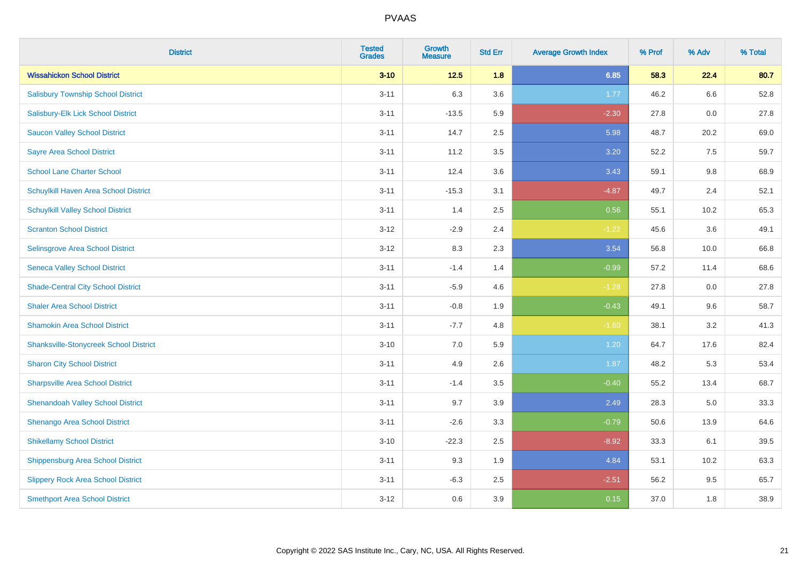| <b>District</b>                               | <b>Tested</b><br><b>Grades</b> | <b>Growth</b><br><b>Measure</b> | <b>Std Err</b> | <b>Average Growth Index</b> | % Prof | % Adv | % Total |
|-----------------------------------------------|--------------------------------|---------------------------------|----------------|-----------------------------|--------|-------|---------|
| <b>Wissahickon School District</b>            | $3 - 10$                       | $12.5$                          | 1.8            | 6.85                        | 58.3   | 22.4  | 80.7    |
| <b>Salisbury Township School District</b>     | $3 - 11$                       | 6.3                             | 3.6            | 1.77                        | 46.2   | 6.6   | 52.8    |
| Salisbury-Elk Lick School District            | $3 - 11$                       | $-13.5$                         | 5.9            | $-2.30$                     | 27.8   | 0.0   | 27.8    |
| <b>Saucon Valley School District</b>          | $3 - 11$                       | 14.7                            | 2.5            | 5.98                        | 48.7   | 20.2  | 69.0    |
| <b>Sayre Area School District</b>             | $3 - 11$                       | 11.2                            | 3.5            | 3.20                        | 52.2   | 7.5   | 59.7    |
| <b>School Lane Charter School</b>             | $3 - 11$                       | 12.4                            | 3.6            | 3.43                        | 59.1   | 9.8   | 68.9    |
| Schuylkill Haven Area School District         | $3 - 11$                       | $-15.3$                         | 3.1            | $-4.87$                     | 49.7   | 2.4   | 52.1    |
| <b>Schuylkill Valley School District</b>      | $3 - 11$                       | 1.4                             | 2.5            | 0.56                        | 55.1   | 10.2  | 65.3    |
| <b>Scranton School District</b>               | $3-12$                         | $-2.9$                          | 2.4            | $-1.22$                     | 45.6   | 3.6   | 49.1    |
| <b>Selinsgrove Area School District</b>       | $3 - 12$                       | 8.3                             | 2.3            | 3.54                        | 56.8   | 10.0  | 66.8    |
| <b>Seneca Valley School District</b>          | $3 - 11$                       | $-1.4$                          | 1.4            | $-0.99$                     | 57.2   | 11.4  | 68.6    |
| <b>Shade-Central City School District</b>     | $3 - 11$                       | $-5.9$                          | 4.6            | $-1.28$                     | 27.8   | 0.0   | 27.8    |
| <b>Shaler Area School District</b>            | $3 - 11$                       | $-0.8$                          | 1.9            | $-0.43$                     | 49.1   | 9.6   | 58.7    |
| <b>Shamokin Area School District</b>          | $3 - 11$                       | $-7.7$                          | 4.8            | $-1.60$                     | 38.1   | 3.2   | 41.3    |
| <b>Shanksville-Stonycreek School District</b> | $3 - 10$                       | 7.0                             | 5.9            | 1.20                        | 64.7   | 17.6  | 82.4    |
| <b>Sharon City School District</b>            | $3 - 11$                       | 4.9                             | 2.6            | 1.87                        | 48.2   | 5.3   | 53.4    |
| <b>Sharpsville Area School District</b>       | $3 - 11$                       | $-1.4$                          | 3.5            | $-0.40$                     | 55.2   | 13.4  | 68.7    |
| <b>Shenandoah Valley School District</b>      | $3 - 11$                       | 9.7                             | 3.9            | 2.49                        | 28.3   | 5.0   | 33.3    |
| Shenango Area School District                 | $3 - 11$                       | $-2.6$                          | 3.3            | $-0.79$                     | 50.6   | 13.9  | 64.6    |
| <b>Shikellamy School District</b>             | $3 - 10$                       | $-22.3$                         | 2.5            | $-8.92$                     | 33.3   | 6.1   | 39.5    |
| <b>Shippensburg Area School District</b>      | $3 - 11$                       | 9.3                             | 1.9            | 4.84                        | 53.1   | 10.2  | 63.3    |
| <b>Slippery Rock Area School District</b>     | $3 - 11$                       | $-6.3$                          | 2.5            | $-2.51$                     | 56.2   | 9.5   | 65.7    |
| <b>Smethport Area School District</b>         | $3-12$                         | 0.6                             | 3.9            | 0.15                        | 37.0   | 1.8   | 38.9    |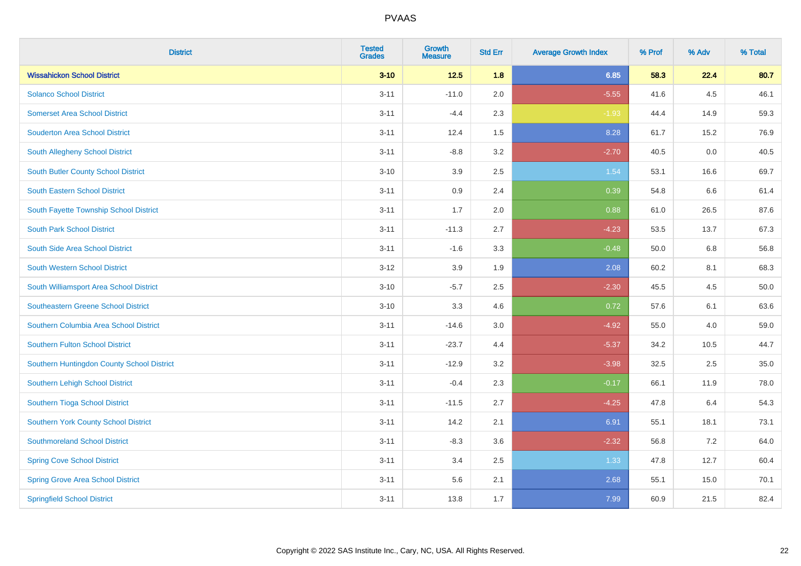| <b>District</b>                            | <b>Tested</b><br><b>Grades</b> | <b>Growth</b><br><b>Measure</b> | <b>Std Err</b> | <b>Average Growth Index</b> | % Prof | % Adv   | % Total |
|--------------------------------------------|--------------------------------|---------------------------------|----------------|-----------------------------|--------|---------|---------|
| <b>Wissahickon School District</b>         | $3 - 10$                       | $12.5$                          | 1.8            | 6.85                        | 58.3   | 22.4    | 80.7    |
| <b>Solanco School District</b>             | $3 - 11$                       | $-11.0$                         | 2.0            | $-5.55$                     | 41.6   | $4.5\,$ | 46.1    |
| <b>Somerset Area School District</b>       | $3 - 11$                       | $-4.4$                          | 2.3            | $-1.93$                     | 44.4   | 14.9    | 59.3    |
| <b>Souderton Area School District</b>      | $3 - 11$                       | 12.4                            | 1.5            | 8.28                        | 61.7   | 15.2    | 76.9    |
| South Allegheny School District            | $3 - 11$                       | $-8.8$                          | 3.2            | $-2.70$                     | 40.5   | 0.0     | 40.5    |
| South Butler County School District        | $3 - 10$                       | 3.9                             | 2.5            | 1.54                        | 53.1   | 16.6    | 69.7    |
| South Eastern School District              | $3 - 11$                       | 0.9                             | 2.4            | 0.39                        | 54.8   | 6.6     | 61.4    |
| South Fayette Township School District     | $3 - 11$                       | 1.7                             | 2.0            | 0.88                        | 61.0   | 26.5    | 87.6    |
| <b>South Park School District</b>          | $3 - 11$                       | $-11.3$                         | 2.7            | $-4.23$                     | 53.5   | 13.7    | 67.3    |
| South Side Area School District            | $3 - 11$                       | $-1.6$                          | 3.3            | $-0.48$                     | 50.0   | 6.8     | 56.8    |
| South Western School District              | $3-12$                         | 3.9                             | 1.9            | 2.08                        | 60.2   | 8.1     | 68.3    |
| South Williamsport Area School District    | $3 - 10$                       | $-5.7$                          | 2.5            | $-2.30$                     | 45.5   | 4.5     | 50.0    |
| <b>Southeastern Greene School District</b> | $3 - 10$                       | 3.3                             | 4.6            | 0.72                        | 57.6   | 6.1     | 63.6    |
| Southern Columbia Area School District     | $3 - 11$                       | $-14.6$                         | 3.0            | $-4.92$                     | 55.0   | 4.0     | 59.0    |
| <b>Southern Fulton School District</b>     | $3 - 11$                       | $-23.7$                         | 4.4            | $-5.37$                     | 34.2   | 10.5    | 44.7    |
| Southern Huntingdon County School District | $3 - 11$                       | $-12.9$                         | 3.2            | $-3.98$                     | 32.5   | 2.5     | 35.0    |
| Southern Lehigh School District            | $3 - 11$                       | $-0.4$                          | 2.3            | $-0.17$                     | 66.1   | 11.9    | 78.0    |
| Southern Tioga School District             | $3 - 11$                       | $-11.5$                         | 2.7            | $-4.25$                     | 47.8   | 6.4     | 54.3    |
| Southern York County School District       | $3 - 11$                       | 14.2                            | 2.1            | 6.91                        | 55.1   | 18.1    | 73.1    |
| <b>Southmoreland School District</b>       | $3 - 11$                       | $-8.3$                          | 3.6            | $-2.32$                     | 56.8   | 7.2     | 64.0    |
| <b>Spring Cove School District</b>         | $3 - 11$                       | 3.4                             | 2.5            | 1.33                        | 47.8   | 12.7    | 60.4    |
| <b>Spring Grove Area School District</b>   | $3 - 11$                       | 5.6                             | 2.1            | 2.68                        | 55.1   | 15.0    | 70.1    |
| <b>Springfield School District</b>         | $3 - 11$                       | 13.8                            | 1.7            | 7.99                        | 60.9   | 21.5    | 82.4    |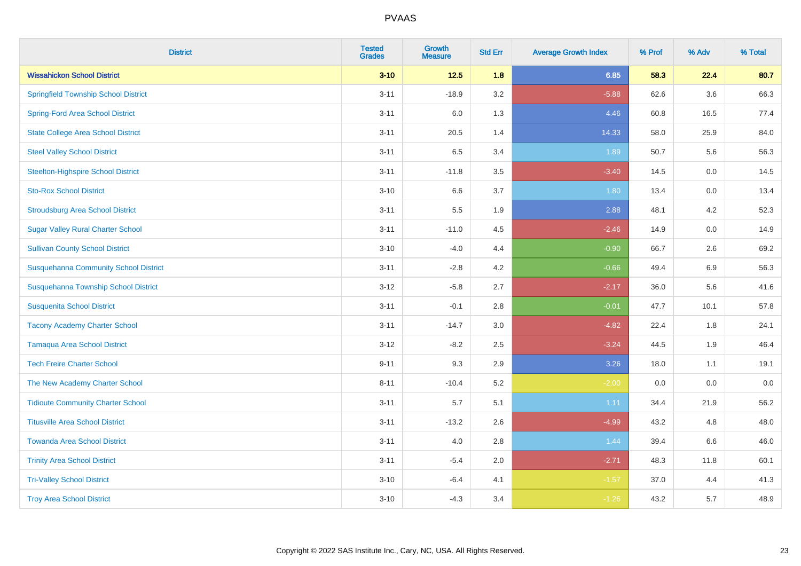| <b>District</b>                              | <b>Tested</b><br><b>Grades</b> | <b>Growth</b><br><b>Measure</b> | <b>Std Err</b> | <b>Average Growth Index</b> | % Prof | % Adv   | % Total |
|----------------------------------------------|--------------------------------|---------------------------------|----------------|-----------------------------|--------|---------|---------|
| <b>Wissahickon School District</b>           | $3 - 10$                       | $12.5$                          | 1.8            | 6.85                        | 58.3   | 22.4    | 80.7    |
| <b>Springfield Township School District</b>  | $3 - 11$                       | $-18.9$                         | 3.2            | $-5.88$                     | 62.6   | $3.6\,$ | 66.3    |
| <b>Spring-Ford Area School District</b>      | $3 - 11$                       | 6.0                             | 1.3            | 4.46                        | 60.8   | 16.5    | 77.4    |
| <b>State College Area School District</b>    | $3 - 11$                       | 20.5                            | 1.4            | 14.33                       | 58.0   | 25.9    | 84.0    |
| <b>Steel Valley School District</b>          | $3 - 11$                       | 6.5                             | 3.4            | 1.89                        | 50.7   | 5.6     | 56.3    |
| <b>Steelton-Highspire School District</b>    | $3 - 11$                       | $-11.8$                         | 3.5            | $-3.40$                     | 14.5   | 0.0     | 14.5    |
| <b>Sto-Rox School District</b>               | $3 - 10$                       | 6.6                             | 3.7            | 1.80                        | 13.4   | 0.0     | 13.4    |
| <b>Stroudsburg Area School District</b>      | $3 - 11$                       | 5.5                             | 1.9            | 2.88                        | 48.1   | 4.2     | 52.3    |
| <b>Sugar Valley Rural Charter School</b>     | $3 - 11$                       | $-11.0$                         | 4.5            | $-2.46$                     | 14.9   | 0.0     | 14.9    |
| <b>Sullivan County School District</b>       | $3 - 10$                       | $-4.0$                          | 4.4            | $-0.90$                     | 66.7   | $2.6\,$ | 69.2    |
| <b>Susquehanna Community School District</b> | $3 - 11$                       | $-2.8$                          | 4.2            | $-0.66$                     | 49.4   | 6.9     | 56.3    |
| Susquehanna Township School District         | $3 - 12$                       | $-5.8$                          | 2.7            | $-2.17$                     | 36.0   | 5.6     | 41.6    |
| <b>Susquenita School District</b>            | $3 - 11$                       | $-0.1$                          | 2.8            | $-0.01$                     | 47.7   | 10.1    | 57.8    |
| <b>Tacony Academy Charter School</b>         | $3 - 11$                       | $-14.7$                         | 3.0            | $-4.82$                     | 22.4   | 1.8     | 24.1    |
| <b>Tamaqua Area School District</b>          | $3 - 12$                       | $-8.2$                          | 2.5            | $-3.24$                     | 44.5   | 1.9     | 46.4    |
| <b>Tech Freire Charter School</b>            | $9 - 11$                       | 9.3                             | 2.9            | 3.26                        | 18.0   | 1.1     | 19.1    |
| The New Academy Charter School               | $8 - 11$                       | $-10.4$                         | 5.2            | $-2.00$                     | 0.0    | 0.0     | $0.0\,$ |
| <b>Tidioute Community Charter School</b>     | $3 - 11$                       | 5.7                             | 5.1            | 1.11                        | 34.4   | 21.9    | 56.2    |
| <b>Titusville Area School District</b>       | $3 - 11$                       | $-13.2$                         | 2.6            | $-4.99$                     | 43.2   | 4.8     | 48.0    |
| <b>Towanda Area School District</b>          | $3 - 11$                       | 4.0                             | 2.8            | 1.44                        | 39.4   | 6.6     | 46.0    |
| <b>Trinity Area School District</b>          | $3 - 11$                       | $-5.4$                          | 2.0            | $-2.71$                     | 48.3   | 11.8    | 60.1    |
| <b>Tri-Valley School District</b>            | $3 - 10$                       | $-6.4$                          | 4.1            | $-1.57$                     | 37.0   | 4.4     | 41.3    |
| <b>Troy Area School District</b>             | $3 - 10$                       | $-4.3$                          | 3.4            | $-1.26$                     | 43.2   | 5.7     | 48.9    |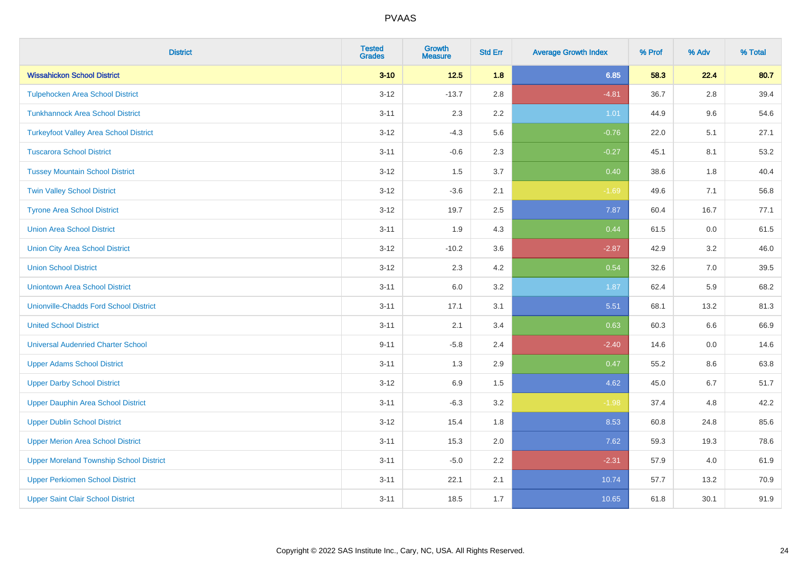| <b>District</b>                                | <b>Tested</b><br><b>Grades</b> | <b>Growth</b><br><b>Measure</b> | <b>Std Err</b> | <b>Average Growth Index</b> | % Prof | % Adv | % Total |
|------------------------------------------------|--------------------------------|---------------------------------|----------------|-----------------------------|--------|-------|---------|
| <b>Wissahickon School District</b>             | $3 - 10$                       | $12.5$                          | 1.8            | 6.85                        | 58.3   | 22.4  | 80.7    |
| <b>Tulpehocken Area School District</b>        | $3-12$                         | $-13.7$                         | 2.8            | $-4.81$                     | 36.7   | 2.8   | 39.4    |
| <b>Tunkhannock Area School District</b>        | $3 - 11$                       | 2.3                             | 2.2            | 1.01                        | 44.9   | 9.6   | 54.6    |
| <b>Turkeyfoot Valley Area School District</b>  | $3 - 12$                       | $-4.3$                          | 5.6            | $-0.76$                     | 22.0   | 5.1   | 27.1    |
| <b>Tuscarora School District</b>               | $3 - 11$                       | $-0.6$                          | 2.3            | $-0.27$                     | 45.1   | 8.1   | 53.2    |
| <b>Tussey Mountain School District</b>         | $3 - 12$                       | 1.5                             | 3.7            | 0.40                        | 38.6   | 1.8   | 40.4    |
| <b>Twin Valley School District</b>             | $3 - 12$                       | $-3.6$                          | 2.1            | $-1.69$                     | 49.6   | 7.1   | 56.8    |
| <b>Tyrone Area School District</b>             | $3 - 12$                       | 19.7                            | 2.5            | 7.87                        | 60.4   | 16.7  | 77.1    |
| <b>Union Area School District</b>              | $3 - 11$                       | 1.9                             | 4.3            | 0.44                        | 61.5   | 0.0   | 61.5    |
| <b>Union City Area School District</b>         | $3 - 12$                       | $-10.2$                         | 3.6            | $-2.87$                     | 42.9   | 3.2   | 46.0    |
| <b>Union School District</b>                   | $3 - 12$                       | 2.3                             | 4.2            | 0.54                        | 32.6   | 7.0   | 39.5    |
| <b>Uniontown Area School District</b>          | $3 - 11$                       | $6.0\,$                         | 3.2            | 1.87                        | 62.4   | 5.9   | 68.2    |
| <b>Unionville-Chadds Ford School District</b>  | $3 - 11$                       | 17.1                            | 3.1            | 5.51                        | 68.1   | 13.2  | 81.3    |
| <b>United School District</b>                  | $3 - 11$                       | 2.1                             | 3.4            | 0.63                        | 60.3   | 6.6   | 66.9    |
| <b>Universal Audenried Charter School</b>      | $9 - 11$                       | $-5.8$                          | 2.4            | $-2.40$                     | 14.6   | 0.0   | 14.6    |
| <b>Upper Adams School District</b>             | $3 - 11$                       | 1.3                             | 2.9            | 0.47                        | 55.2   | 8.6   | 63.8    |
| <b>Upper Darby School District</b>             | $3 - 12$                       | 6.9                             | 1.5            | 4.62                        | 45.0   | 6.7   | 51.7    |
| <b>Upper Dauphin Area School District</b>      | $3 - 11$                       | $-6.3$                          | 3.2            | $-1.98$                     | 37.4   | 4.8   | 42.2    |
| <b>Upper Dublin School District</b>            | $3 - 12$                       | 15.4                            | 1.8            | 8.53                        | 60.8   | 24.8  | 85.6    |
| <b>Upper Merion Area School District</b>       | $3 - 11$                       | 15.3                            | 2.0            | 7.62                        | 59.3   | 19.3  | 78.6    |
| <b>Upper Moreland Township School District</b> | $3 - 11$                       | $-5.0$                          | 2.2            | $-2.31$                     | 57.9   | 4.0   | 61.9    |
| <b>Upper Perkiomen School District</b>         | $3 - 11$                       | 22.1                            | 2.1            | 10.74                       | 57.7   | 13.2  | 70.9    |
| <b>Upper Saint Clair School District</b>       | $3 - 11$                       | 18.5                            | 1.7            | 10.65                       | 61.8   | 30.1  | 91.9    |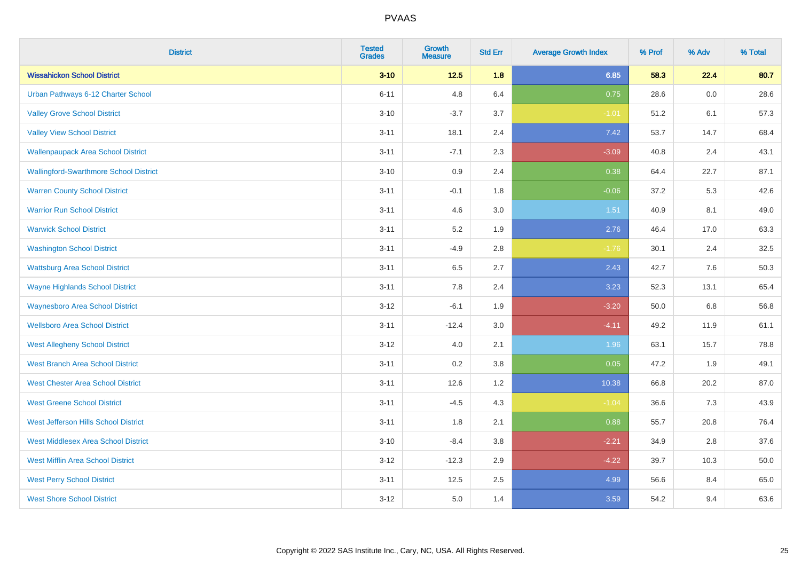| <b>District</b>                               | <b>Tested</b><br><b>Grades</b> | <b>Growth</b><br><b>Measure</b> | <b>Std Err</b> | <b>Average Growth Index</b> | % Prof | % Adv | % Total |
|-----------------------------------------------|--------------------------------|---------------------------------|----------------|-----------------------------|--------|-------|---------|
| <b>Wissahickon School District</b>            | $3 - 10$                       | $12.5$                          | 1.8            | 6.85                        | 58.3   | 22.4  | 80.7    |
| Urban Pathways 6-12 Charter School            | $6 - 11$                       | 4.8                             | 6.4            | 0.75                        | 28.6   | 0.0   | 28.6    |
| <b>Valley Grove School District</b>           | $3 - 10$                       | $-3.7$                          | 3.7            | $-1.01$                     | 51.2   | 6.1   | 57.3    |
| <b>Valley View School District</b>            | $3 - 11$                       | 18.1                            | 2.4            | 7.42                        | 53.7   | 14.7  | 68.4    |
| <b>Wallenpaupack Area School District</b>     | $3 - 11$                       | $-7.1$                          | 2.3            | $-3.09$                     | 40.8   | 2.4   | 43.1    |
| <b>Wallingford-Swarthmore School District</b> | $3 - 10$                       | 0.9                             | 2.4            | 0.38                        | 64.4   | 22.7  | 87.1    |
| <b>Warren County School District</b>          | $3 - 11$                       | $-0.1$                          | 1.8            | $-0.06$                     | 37.2   | 5.3   | 42.6    |
| <b>Warrior Run School District</b>            | $3 - 11$                       | 4.6                             | 3.0            | 1.51                        | 40.9   | 8.1   | 49.0    |
| <b>Warwick School District</b>                | $3 - 11$                       | 5.2                             | 1.9            | 2.76                        | 46.4   | 17.0  | 63.3    |
| <b>Washington School District</b>             | $3 - 11$                       | $-4.9$                          | 2.8            | $-1.76$                     | 30.1   | 2.4   | 32.5    |
| <b>Wattsburg Area School District</b>         | $3 - 11$                       | 6.5                             | 2.7            | 2.43                        | 42.7   | 7.6   | 50.3    |
| <b>Wayne Highlands School District</b>        | $3 - 11$                       | 7.8                             | 2.4            | 3.23                        | 52.3   | 13.1  | 65.4    |
| <b>Waynesboro Area School District</b>        | $3 - 12$                       | $-6.1$                          | 1.9            | $-3.20$                     | 50.0   | 6.8   | 56.8    |
| <b>Wellsboro Area School District</b>         | $3 - 11$                       | $-12.4$                         | 3.0            | $-4.11$                     | 49.2   | 11.9  | 61.1    |
| <b>West Allegheny School District</b>         | $3 - 12$                       | 4.0                             | 2.1            | 1.96                        | 63.1   | 15.7  | 78.8    |
| <b>West Branch Area School District</b>       | $3 - 11$                       | 0.2                             | 3.8            | 0.05                        | 47.2   | 1.9   | 49.1    |
| <b>West Chester Area School District</b>      | $3 - 11$                       | 12.6                            | 1.2            | 10.38                       | 66.8   | 20.2  | 87.0    |
| <b>West Greene School District</b>            | $3 - 11$                       | $-4.5$                          | 4.3            | $-1.04$                     | 36.6   | 7.3   | 43.9    |
| West Jefferson Hills School District          | $3 - 11$                       | 1.8                             | 2.1            | 0.88                        | 55.7   | 20.8  | 76.4    |
| <b>West Middlesex Area School District</b>    | $3 - 10$                       | $-8.4$                          | 3.8            | $-2.21$                     | 34.9   | 2.8   | 37.6    |
| <b>West Mifflin Area School District</b>      | $3 - 12$                       | $-12.3$                         | 2.9            | $-4.22$                     | 39.7   | 10.3  | 50.0    |
| <b>West Perry School District</b>             | $3 - 11$                       | 12.5                            | 2.5            | 4.99                        | 56.6   | 8.4   | 65.0    |
| <b>West Shore School District</b>             | $3-12$                         | 5.0                             | 1.4            | 3.59                        | 54.2   | 9.4   | 63.6    |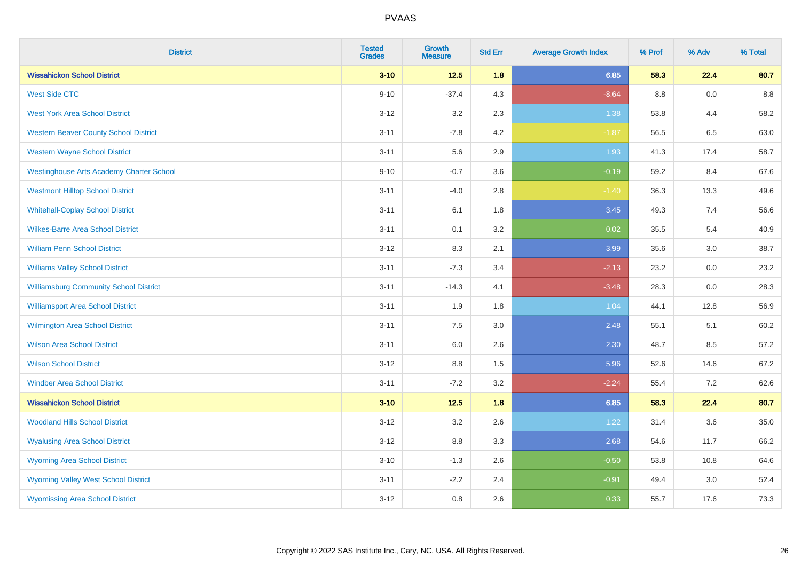| <b>District</b>                                 | <b>Tested</b><br><b>Grades</b> | <b>Growth</b><br><b>Measure</b> | <b>Std Err</b> | <b>Average Growth Index</b> | % Prof | % Adv | % Total |
|-------------------------------------------------|--------------------------------|---------------------------------|----------------|-----------------------------|--------|-------|---------|
| <b>Wissahickon School District</b>              | $3 - 10$                       | $12.5$                          | 1.8            | 6.85                        | 58.3   | 22.4  | 80.7    |
| <b>West Side CTC</b>                            | $9 - 10$                       | $-37.4$                         | 4.3            | $-8.64$                     | 8.8    | 0.0   | 8.8     |
| <b>West York Area School District</b>           | $3 - 12$                       | 3.2                             | 2.3            | 1.38                        | 53.8   | 4.4   | 58.2    |
| <b>Western Beaver County School District</b>    | $3 - 11$                       | $-7.8$                          | 4.2            | $-1.87$                     | 56.5   | 6.5   | 63.0    |
| <b>Western Wayne School District</b>            | $3 - 11$                       | 5.6                             | 2.9            | 1.93                        | 41.3   | 17.4  | 58.7    |
| <b>Westinghouse Arts Academy Charter School</b> | $9 - 10$                       | $-0.7$                          | 3.6            | $-0.19$                     | 59.2   | 8.4   | 67.6    |
| <b>Westmont Hilltop School District</b>         | $3 - 11$                       | $-4.0$                          | 2.8            | $-1.40$                     | 36.3   | 13.3  | 49.6    |
| <b>Whitehall-Coplay School District</b>         | $3 - 11$                       | 6.1                             | 1.8            | 3.45                        | 49.3   | 7.4   | 56.6    |
| <b>Wilkes-Barre Area School District</b>        | $3 - 11$                       | 0.1                             | 3.2            | 0.02                        | 35.5   | 5.4   | 40.9    |
| <b>William Penn School District</b>             | $3 - 12$                       | 8.3                             | 2.1            | 3.99                        | 35.6   | 3.0   | 38.7    |
| <b>Williams Valley School District</b>          | $3 - 11$                       | $-7.3$                          | 3.4            | $-2.13$                     | 23.2   | 0.0   | 23.2    |
| <b>Williamsburg Community School District</b>   | $3 - 11$                       | $-14.3$                         | 4.1            | $-3.48$                     | 28.3   | 0.0   | 28.3    |
| <b>Williamsport Area School District</b>        | $3 - 11$                       | 1.9                             | 1.8            | 1.04                        | 44.1   | 12.8  | 56.9    |
| <b>Wilmington Area School District</b>          | $3 - 11$                       | $7.5\,$                         | 3.0            | 2.48                        | 55.1   | 5.1   | 60.2    |
| <b>Wilson Area School District</b>              | $3 - 11$                       | 6.0                             | 2.6            | 2.30                        | 48.7   | 8.5   | 57.2    |
| <b>Wilson School District</b>                   | $3-12$                         | 8.8                             | 1.5            | 5.96                        | 52.6   | 14.6  | 67.2    |
| <b>Windber Area School District</b>             | $3 - 11$                       | $-7.2$                          | 3.2            | $-2.24$                     | 55.4   | 7.2   | 62.6    |
| <b>Wissahickon School District</b>              | $3 - 10$                       | $12.5$                          | 1.8            | 6.85                        | 58.3   | 22.4  | 80.7    |
| <b>Woodland Hills School District</b>           | $3 - 12$                       | 3.2                             | 2.6            | 1.22                        | 31.4   | 3.6   | 35.0    |
| <b>Wyalusing Area School District</b>           | $3-12$                         | 8.8                             | 3.3            | 2.68                        | 54.6   | 11.7  | 66.2    |
| <b>Wyoming Area School District</b>             | $3 - 10$                       | $-1.3$                          | 2.6            | $-0.50$                     | 53.8   | 10.8  | 64.6    |
| <b>Wyoming Valley West School District</b>      | $3 - 11$                       | $-2.2$                          | 2.4            | $-0.91$                     | 49.4   | 3.0   | 52.4    |
| <b>Wyomissing Area School District</b>          | $3-12$                         | 0.8                             | 2.6            | 0.33                        | 55.7   | 17.6  | 73.3    |